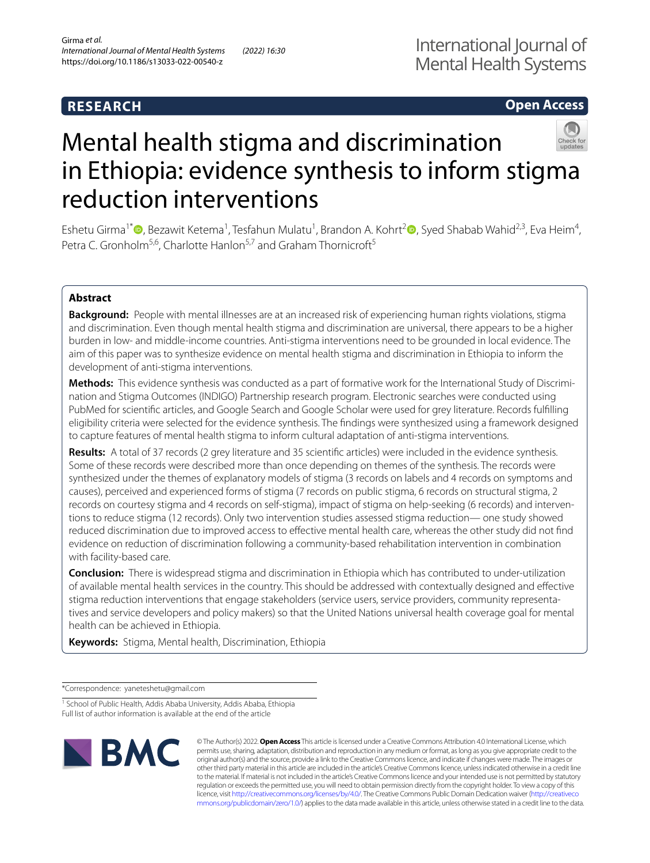# **RESEARCH**

# **Open Access**



# Mental health stigma and discrimination in Ethiopia: evidence synthesis to inform stigma reduction interventions

Eshetu Girma<sup>1[\\*](http://orcid.org/0000-0002-9418-1775)</sup> <sup>(</sup>D, Bezawit Ketema<sup>1</sup>, Tesfahun Mulatu<sup>1</sup>, Brandon A. Kohrt<sup>[2](http://orcid.org/0000-0002-3829-4820)</sup> (D, Syed Shabab Wahid<sup>2,3</sup>, Eva Heim<sup>4</sup>, Petra C. Gronholm<sup>5,6</sup>, Charlotte Hanlon<sup>5,7</sup> and Graham Thornicroft<sup>5</sup>

# **Abstract**

**Background:** People with mental illnesses are at an increased risk of experiencing human rights violations, stigma and discrimination. Even though mental health stigma and discrimination are universal, there appears to be a higher burden in low- and middle-income countries. Anti-stigma interventions need to be grounded in local evidence. The aim of this paper was to synthesize evidence on mental health stigma and discrimination in Ethiopia to inform the development of anti-stigma interventions.

**Methods:** This evidence synthesis was conducted as a part of formative work for the International Study of Discrimination and Stigma Outcomes (INDIGO) Partnership research program. Electronic searches were conducted using PubMed for scientifc articles, and Google Search and Google Scholar were used for grey literature. Records fulflling eligibility criteria were selected for the evidence synthesis. The fndings were synthesized using a framework designed to capture features of mental health stigma to inform cultural adaptation of anti-stigma interventions.

**Results:** A total of 37 records (2 grey literature and 35 scientifc articles) were included in the evidence synthesis. Some of these records were described more than once depending on themes of the synthesis. The records were synthesized under the themes of explanatory models of stigma (3 records on labels and 4 records on symptoms and causes), perceived and experienced forms of stigma (7 records on public stigma, 6 records on structural stigma, 2 records on courtesy stigma and 4 records on self-stigma), impact of stigma on help-seeking (6 records) and interventions to reduce stigma (12 records). Only two intervention studies assessed stigma reduction— one study showed reduced discrimination due to improved access to efective mental health care, whereas the other study did not fnd evidence on reduction of discrimination following a community-based rehabilitation intervention in combination with facility-based care.

**Conclusion:** There is widespread stigma and discrimination in Ethiopia which has contributed to under-utilization of available mental health services in the country. This should be addressed with contextually designed and efective stigma reduction interventions that engage stakeholders (service users, service providers, community representatives and service developers and policy makers) so that the United Nations universal health coverage goal for mental health can be achieved in Ethiopia.

**Keywords:** Stigma, Mental health, Discrimination, Ethiopia

\*Correspondence: yaneteshetu@gmail.com

<sup>&</sup>lt;sup>1</sup> School of Public Health, Addis Ababa University, Addis Ababa, Ethiopia Full list of author information is available at the end of the article



© The Author(s) 2022. **Open Access** This article is licensed under a Creative Commons Attribution 4.0 International License, which permits use, sharing, adaptation, distribution and reproduction in any medium or format, as long as you give appropriate credit to the original author(s) and the source, provide a link to the Creative Commons licence, and indicate if changes were made. The images or other third party material in this article are included in the article's Creative Commons licence, unless indicated otherwise in a credit line to the material. If material is not included in the article's Creative Commons licence and your intended use is not permitted by statutory regulation or exceeds the permitted use, you will need to obtain permission directly from the copyright holder. To view a copy of this licence, visit [http://creativecommons.org/licenses/by/4.0/.](http://creativecommons.org/licenses/by/4.0/) The Creative Commons Public Domain Dedication waiver ([http://creativeco](http://creativecommons.org/publicdomain/zero/1.0/) [mmons.org/publicdomain/zero/1.0/](http://creativecommons.org/publicdomain/zero/1.0/)) applies to the data made available in this article, unless otherwise stated in a credit line to the data.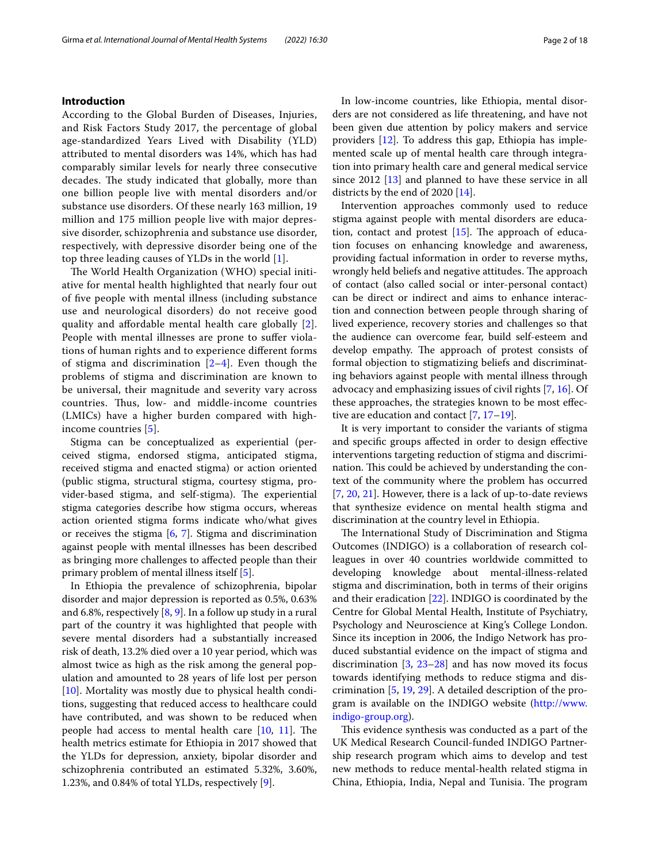# **Introduction**

According to the Global Burden of Diseases, Injuries, and Risk Factors Study 2017, the percentage of global age-standardized Years Lived with Disability (YLD) attributed to mental disorders was 14%, which has had comparably similar levels for nearly three consecutive decades. The study indicated that globally, more than one billion people live with mental disorders and/or substance use disorders. Of these nearly 163 million, 19 million and 175 million people live with major depressive disorder, schizophrenia and substance use disorder, respectively, with depressive disorder being one of the top three leading causes of YLDs in the world [[1\]](#page-15-0).

The World Health Organization (WHO) special initiative for mental health highlighted that nearly four out of fve people with mental illness (including substance use and neurological disorders) do not receive good quality and afordable mental health care globally [[2\]](#page-15-1). People with mental illnesses are prone to suffer violations of human rights and to experience diferent forms of stigma and discrimination  $[2-4]$  $[2-4]$ . Even though the problems of stigma and discrimination are known to be universal, their magnitude and severity vary across countries. Thus, low- and middle-income countries (LMICs) have a higher burden compared with highincome countries [\[5\]](#page-15-3).

Stigma can be conceptualized as experiential (perceived stigma, endorsed stigma, anticipated stigma, received stigma and enacted stigma) or action oriented (public stigma, structural stigma, courtesy stigma, provider-based stigma, and self-stigma). The experiential stigma categories describe how stigma occurs, whereas action oriented stigma forms indicate who/what gives or receives the stigma  $[6, 7]$  $[6, 7]$  $[6, 7]$  $[6, 7]$  $[6, 7]$ . Stigma and discrimination against people with mental illnesses has been described as bringing more challenges to afected people than their primary problem of mental illness itself [[5\]](#page-15-3).

In Ethiopia the prevalence of schizophrenia, bipolar disorder and major depression is reported as 0.5%, 0.63% and 6.8%, respectively  $[8, 9]$  $[8, 9]$  $[8, 9]$ . In a follow up study in a rural part of the country it was highlighted that people with severe mental disorders had a substantially increased risk of death, 13.2% died over a 10 year period, which was almost twice as high as the risk among the general population and amounted to 28 years of life lost per person [[10\]](#page-15-8). Mortality was mostly due to physical health conditions, suggesting that reduced access to healthcare could have contributed, and was shown to be reduced when people had access to mental health care  $[10, 11]$  $[10, 11]$  $[10, 11]$  $[10, 11]$  $[10, 11]$ . The health metrics estimate for Ethiopia in 2017 showed that the YLDs for depression, anxiety, bipolar disorder and schizophrenia contributed an estimated 5.32%, 3.60%, 1.23%, and 0.84% of total YLDs, respectively [\[9](#page-15-7)].

In low-income countries, like Ethiopia, mental disorders are not considered as life threatening, and have not been given due attention by policy makers and service providers [\[12](#page-15-10)]. To address this gap, Ethiopia has implemented scale up of mental health care through integration into primary health care and general medical service since 2012  $[13]$  and planned to have these service in all districts by the end of 2020 [[14](#page-15-12)].

Intervention approaches commonly used to reduce stigma against people with mental disorders are education, contact and protest  $[15]$  $[15]$  $[15]$ . The approach of education focuses on enhancing knowledge and awareness, providing factual information in order to reverse myths, wrongly held beliefs and negative attitudes. The approach of contact (also called social or inter-personal contact) can be direct or indirect and aims to enhance interaction and connection between people through sharing of lived experience, recovery stories and challenges so that the audience can overcome fear, build self-esteem and develop empathy. The approach of protest consists of formal objection to stigmatizing beliefs and discriminating behaviors against people with mental illness through advocacy and emphasizing issues of civil rights [\[7,](#page-15-5) [16](#page-15-14)]. Of these approaches, the strategies known to be most efective are education and contact [\[7](#page-15-5), [17](#page-15-15)[–19](#page-15-16)].

It is very important to consider the variants of stigma and specifc groups afected in order to design efective interventions targeting reduction of stigma and discrimination. This could be achieved by understanding the context of the community where the problem has occurred [[7,](#page-15-5) [20,](#page-15-17) [21](#page-15-18)]. However, there is a lack of up-to-date reviews that synthesize evidence on mental health stigma and discrimination at the country level in Ethiopia.

The International Study of Discrimination and Stigma Outcomes (INDIGO) is a collaboration of research colleagues in over 40 countries worldwide committed to developing knowledge about mental-illness-related stigma and discrimination, both in terms of their origins and their eradication [[22\]](#page-15-19). INDIGO is coordinated by the Centre for Global Mental Health, Institute of Psychiatry, Psychology and Neuroscience at King's College London. Since its inception in 2006, the Indigo Network has produced substantial evidence on the impact of stigma and discrimination  $[3, 23-28]$  $[3, 23-28]$  $[3, 23-28]$  $[3, 23-28]$  $[3, 23-28]$  and has now moved its focus towards identifying methods to reduce stigma and discrimination [[5,](#page-15-3) [19](#page-15-16), [29\]](#page-16-2). A detailed description of the program is available on the INDIGO website [\(http://www.](http://www.indigo-group.org) [indigo-group.org](http://www.indigo-group.org)).

This evidence synthesis was conducted as a part of the UK Medical Research Council-funded INDIGO Partnership research program which aims to develop and test new methods to reduce mental-health related stigma in China, Ethiopia, India, Nepal and Tunisia. The program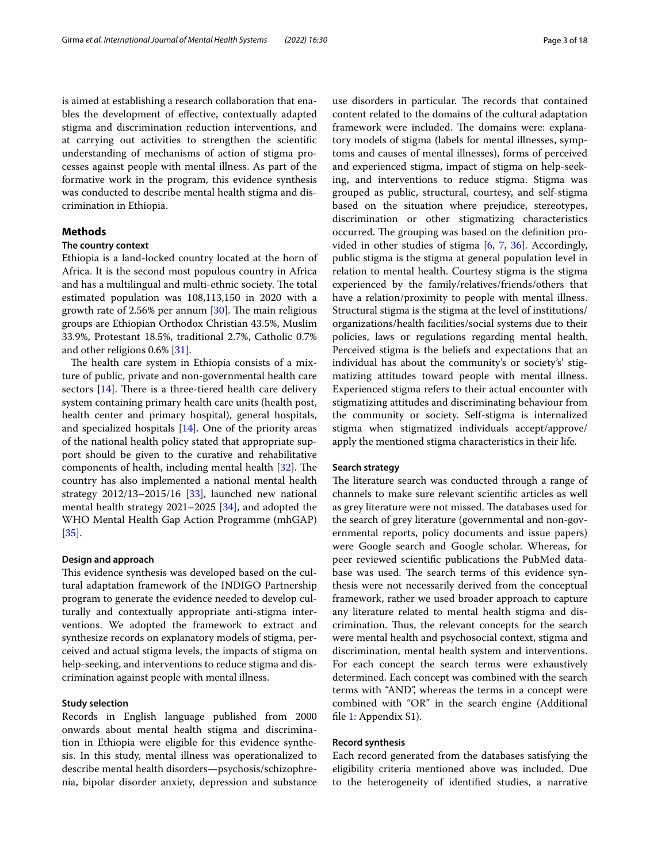is aimed at establishing a research collaboration that enables the development of efective, contextually adapted stigma and discrimination reduction interventions, and at carrying out activities to strengthen the scientifc understanding of mechanisms of action of stigma processes against people with mental illness. As part of the formative work in the program, this evidence synthesis was conducted to describe mental health stigma and discrimination in Ethiopia.

# **Methods**

# **The country context**

Ethiopia is a land-locked country located at the horn of Africa. It is the second most populous country in Africa and has a multilingual and multi-ethnic society. The total estimated population was 108,113,150 in 2020 with a growth rate of 2.56% per annum  $[30]$  $[30]$ . The main religious groups are Ethiopian Orthodox Christian 43.5%, Muslim 33.9%, Protestant 18.5%, traditional 2.7%, Catholic 0.7% and other religions 0.6% [\[31](#page-16-4)].

The health care system in Ethiopia consists of a mixture of public, private and non-governmental health care sectors  $[14]$  $[14]$ . There is a three-tiered health care delivery system containing primary health care units (health post, health center and primary hospital), general hospitals, and specialized hospitals [[14\]](#page-15-12). One of the priority areas of the national health policy stated that appropriate support should be given to the curative and rehabilitative components of health, including mental health  $[32]$  $[32]$ . The country has also implemented a national mental health strategy 2012/13–2015/16 [[33](#page-16-6)], launched new national mental health strategy 2021–2025 [\[34](#page-16-7)], and adopted the WHO Mental Health Gap Action Programme (mhGAP) [[35\]](#page-16-8).

#### **Design and approach**

This evidence synthesis was developed based on the cultural adaptation framework of the INDIGO Partnership program to generate the evidence needed to develop culturally and contextually appropriate anti-stigma interventions. We adopted the framework to extract and synthesize records on explanatory models of stigma, perceived and actual stigma levels, the impacts of stigma on help-seeking, and interventions to reduce stigma and discrimination against people with mental illness.

## **Study selection**

Records in English language published from 2000 onwards about mental health stigma and discrimination in Ethiopia were eligible for this evidence synthesis. In this study, mental illness was operationalized to describe mental health disorders—psychosis/schizophrenia, bipolar disorder anxiety, depression and substance use disorders in particular. The records that contained content related to the domains of the cultural adaptation framework were included. The domains were: explanatory models of stigma (labels for mental illnesses, symptoms and causes of mental illnesses), forms of perceived and experienced stigma, impact of stigma on help-seeking, and interventions to reduce stigma. Stigma was grouped as public, structural, courtesy, and self-stigma based on the situation where prejudice, stereotypes, discrimination or other stigmatizing characteristics occurred. The grouping was based on the definition provided in other studies of stigma [[6](#page-15-4), [7](#page-15-5), [36](#page-16-9)]. Accordingly, public stigma is the stigma at general population level in relation to mental health. Courtesy stigma is the stigma experienced by the family/relatives/friends/others that have a relation/proximity to people with mental illness. Structural stigma is the stigma at the level of institutions/ organizations/health facilities/social systems due to their policies, laws or regulations regarding mental health. Perceived stigma is the beliefs and expectations that an individual has about the community's or society's' stigmatizing attitudes toward people with mental illness. Experienced stigma refers to their actual encounter with stigmatizing attitudes and discriminating behaviour from the community or society. Self-stigma is internalized stigma when stigmatized individuals accept/approve/ apply the mentioned stigma characteristics in their life.

#### **Search strategy**

The literature search was conducted through a range of channels to make sure relevant scientifc articles as well as grey literature were not missed. The databases used for the search of grey literature (governmental and non-governmental reports, policy documents and issue papers) were Google search and Google scholar. Whereas, for peer reviewed scientifc publications the PubMed database was used. The search terms of this evidence synthesis were not necessarily derived from the conceptual framework, rather we used broader approach to capture any literature related to mental health stigma and discrimination. Thus, the relevant concepts for the search were mental health and psychosocial context, stigma and discrimination, mental health system and interventions. For each concept the search terms were exhaustively determined. Each concept was combined with the search terms with "AND", whereas the terms in a concept were combined with "OR" in the search engine (Additional fle [1](#page-15-21): Appendix S1).

## **Record synthesis**

Each record generated from the databases satisfying the eligibility criteria mentioned above was included. Due to the heterogeneity of identifed studies, a narrative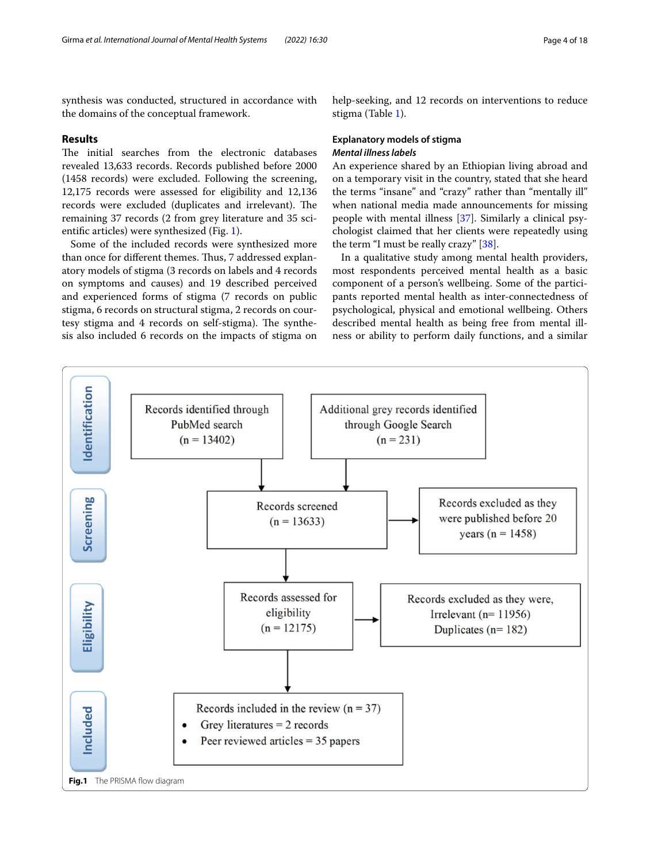synthesis was conducted, structured in accordance with the domains of the conceptual framework.

# **Results**

The initial searches from the electronic databases revealed 13,633 records. Records published before 2000 (1458 records) were excluded. Following the screening, 12,175 records were assessed for eligibility and 12,136 records were excluded (duplicates and irrelevant). The remaining 37 records (2 from grey literature and 35 scientifc articles) were synthesized (Fig. [1\)](#page-3-0).

Some of the included records were synthesized more than once for different themes. Thus, 7 addressed explanatory models of stigma (3 records on labels and 4 records on symptoms and causes) and 19 described perceived and experienced forms of stigma (7 records on public stigma, 6 records on structural stigma, 2 records on courtesy stigma and 4 records on self-stigma). The synthesis also included 6 records on the impacts of stigma on help-seeking, and 12 records on interventions to reduce stigma (Table [1](#page-4-0)).

# **Explanatory models of stigma** *Mental illness labels*

An experience shared by an Ethiopian living abroad and on a temporary visit in the country, stated that she heard the terms "insane" and "crazy" rather than "mentally ill" when national media made announcements for missing people with mental illness [[37](#page-16-10)]. Similarly a clinical psychologist claimed that her clients were repeatedly using the term "I must be really crazy" [\[38\]](#page-16-11).

In a qualitative study among mental health providers, most respondents perceived mental health as a basic component of a person's wellbeing. Some of the participants reported mental health as inter-connectedness of psychological, physical and emotional wellbeing. Others described mental health as being free from mental illness or ability to perform daily functions, and a similar

<span id="page-3-0"></span>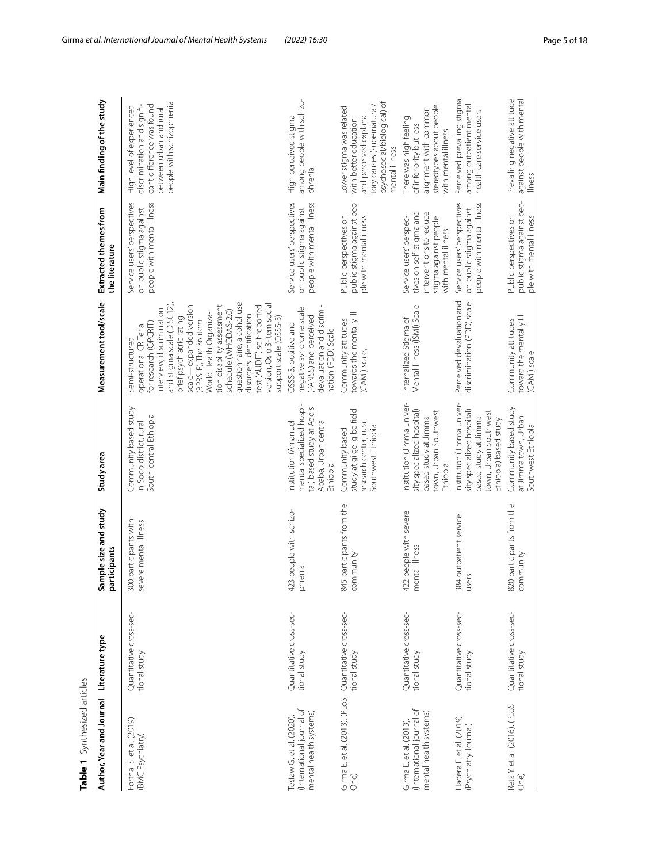<span id="page-4-0"></span>

| Table 1 Synthesized articles                                                   |                                         |                                                |                                                                                                                                    |                                                                                                                                                                                                                                                                                                                                                                                                                                           |                                                                                                                                |                                                                                                                                                            |
|--------------------------------------------------------------------------------|-----------------------------------------|------------------------------------------------|------------------------------------------------------------------------------------------------------------------------------------|-------------------------------------------------------------------------------------------------------------------------------------------------------------------------------------------------------------------------------------------------------------------------------------------------------------------------------------------------------------------------------------------------------------------------------------------|--------------------------------------------------------------------------------------------------------------------------------|------------------------------------------------------------------------------------------------------------------------------------------------------------|
| Author, Year and Journal                                                       | Literature type                         | Sample size and study<br>participants          | Study area                                                                                                                         | Measurement tool/scale                                                                                                                                                                                                                                                                                                                                                                                                                    | Extracted themes from<br>the literature                                                                                        | Main finding of the study                                                                                                                                  |
| Forthal S. et al. (2019).<br>(BMC Psychiatry)                                  | Quantitative cross-sec-<br>tional study | 300 participants with<br>severe mental illness | Community based study<br>South-central Ethiopia<br>in Sodo district, rural                                                         | questionnaire, alcohol use<br>scale—expanded version<br>(BPRS-E), The 36-item<br>tion disability assessment<br>version, Oslo 3-item social<br>and stigma scale (DISC12)<br>test (AUDIT) self-reported<br>nterview, discrimination<br>schedule (WHODAS-2.0)<br>World Health Organiza-<br>disorders identification<br>orief psychiatric rating<br>support scale (OSSS-3)<br>or research (OPCRIT)<br>operational CRITeria<br>Semi-structured | people with mental illness<br>Service users' perspectives<br>on public stigma against                                          | people with schizophrenia<br>cant difference was found<br>discrimination and signifi-<br>High level of experienced<br>between urban and rural              |
| (International journal of<br>mental health systems)<br>Tesfaw G. et al. (2020) | Quantitative cross-sec-<br>tional study | 423 people with schizo-<br>phrenia             | mental specialized hospi-<br>tal) based study at Addis<br>Ababa, Urban central<br>Institution (Amanuel<br>Ethiopia                 | devaluation and discrimi-<br>$\Omega$<br>negative syndrome scal<br>(PANSS) and perceived<br>OSSS-3, positive and<br>nation (PDD) Scale                                                                                                                                                                                                                                                                                                    | Service users' perspectives<br>people with mental illness<br>on public stigma against                                          | among people with schizo-<br>High perceived stigma<br>phrenia                                                                                              |
| Girma E. et al. (2013). (PLoS<br>One)                                          | Quantitative cross-sec-<br>tional study | 845 participants from the<br>community         | study at gilgel gibe field<br>research center, rural<br>Southwest Ethiopia<br>Community based                                      | towards the mentally III<br>Community attitudes<br>(CAMI) scale,                                                                                                                                                                                                                                                                                                                                                                          | public stigma against peo-<br>Public perspectives on<br>ple with mental illness                                                | psychosocial/biological) of<br>tory causes (supernatural/<br>Lower stigma was related<br>and perceived explana-<br>with better education<br>mental illness |
| (International journal of<br>mental health systems)<br>Girma E. et al. (2013)  | Quantitative cross-sec-<br>tional study | 422 people with severe<br>mental illness       | Institution (Jimma univer-<br>sity specialized hospital)<br>town, Urban Southwest<br>based study at Jimma<br>Ethiopia              | Mental Illness (ISMI) Scale<br>Internalized Stigma of                                                                                                                                                                                                                                                                                                                                                                                     | tives on self-stigma and<br>interventions to reduce<br>Service users' perspec-<br>stigma against people<br>with mental illness | stereotypes about people<br>alignment with common<br>There was high feeling<br>of inferiority but less<br>with mental illness                              |
| Hadera E. et al. (2019).<br>(Psychiatry Journal)                               | Quantitative cross-sec-<br>tional study | 384 outpatient service<br>users                | Institution (Jimma univer-<br>sity specialized hospital)<br>town, Urban Southwest<br>based study at Jimma<br>Ethiopia) based study | Perceived devaluation and<br>discrimination (PDD) scale                                                                                                                                                                                                                                                                                                                                                                                   | Service users' perspectives<br>people with mental illness<br>on public stigma against                                          | Perceived prevailing stigma<br>among outpatient mental<br>health care service users                                                                        |
| Reta Y. et al. (2016). (PLoS<br>One)                                           | Quantitative cross-sec-<br>tional study | 820 participants from the<br>community         | Community based study<br>at Jimma town, Urban<br>Southwest Ethiopia                                                                | toward the mentally III<br>Community attitudes<br>(CAMI) scale                                                                                                                                                                                                                                                                                                                                                                            | public stigma against peo-<br>Public perspectives on<br>ple with mental illness                                                | Prevailing negative attitude<br>against people with mental<br>illness                                                                                      |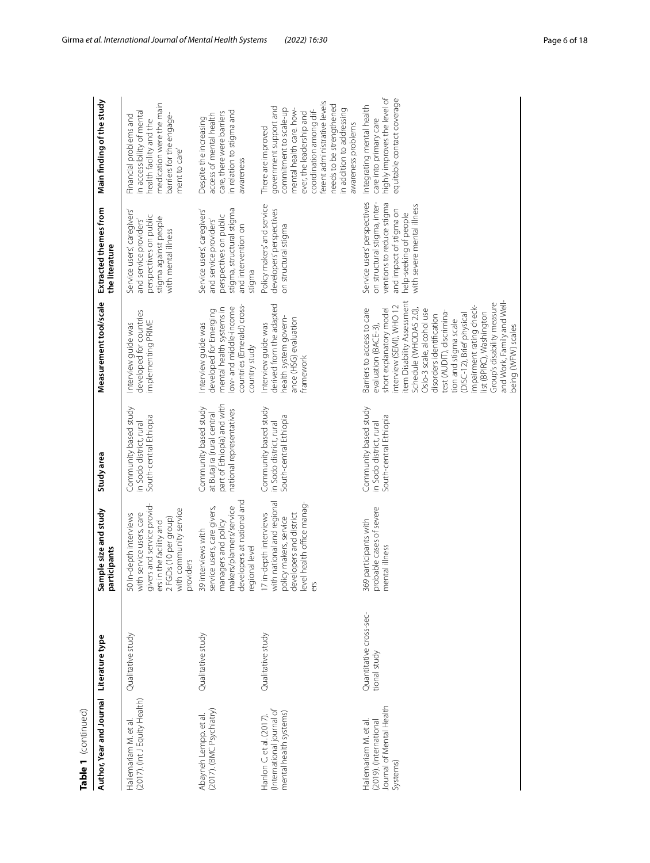| Table 1 $\left($ continued)                                                            |                                         |                                                                                                                                                                            |                                                                                                               |                                                                                                                                                                                                                                                                                                                                                                                                                                                       |                                                                                                                                                                             |                                                                                                                                                                                                                                                                          |
|----------------------------------------------------------------------------------------|-----------------------------------------|----------------------------------------------------------------------------------------------------------------------------------------------------------------------------|---------------------------------------------------------------------------------------------------------------|-------------------------------------------------------------------------------------------------------------------------------------------------------------------------------------------------------------------------------------------------------------------------------------------------------------------------------------------------------------------------------------------------------------------------------------------------------|-----------------------------------------------------------------------------------------------------------------------------------------------------------------------------|--------------------------------------------------------------------------------------------------------------------------------------------------------------------------------------------------------------------------------------------------------------------------|
| Author, Year and Journal                                                               | Literature type                         | Sample size and study<br>participants                                                                                                                                      | Study area                                                                                                    | Measurement tool/scale                                                                                                                                                                                                                                                                                                                                                                                                                                | Extracted themes from<br>the literature                                                                                                                                     | Main finding of the study                                                                                                                                                                                                                                                |
| (2017). (Int J Equity Health)<br>Hailemariam M. et al.                                 | Qualitative study                       | givers and service providers<br>and the facility and<br>2 FGDs (10 per group)<br>with community service<br>50 In-depth interviews<br>with service users, care<br>providers | Community based study<br>South-central Ethiopia<br>in Sodo district, rural                                    | developed for countries<br>implementing PRIME<br>Interview guide was                                                                                                                                                                                                                                                                                                                                                                                  | Service users, caregivers'<br>perspectives on public<br>stigma against people<br>and service providers'<br>with mental illness                                              | medication were the main<br>in accessibility of mental<br>barriers for the engage-<br>Financial problems and<br>health facility and the<br>ment to care                                                                                                                  |
| (2017). (BMC Psychiatry)<br>Abayneh Lempp. et al.                                      | Qualitative study                       | developers at national and<br>39 interviews with<br>service users, care givers,<br>managers and policy<br>makers/planners/service<br>regional level                        | part of Ethiopia) and with<br>Community based study<br>national representatives<br>at Butajira (rural central | countries (Emerald) cross-<br>low- and middle-income<br>mental health systems in<br>developed for Emerging<br>nterview guide was<br>country study                                                                                                                                                                                                                                                                                                     | stigma, structural stigma<br>Service users, caregivers'<br>perspectives on public<br>and service providers'<br>and intervention on<br>stigma                                | in relation to stigma and<br>care, there were barriers<br>access of mental health<br>Despite the increasing<br>awareness                                                                                                                                                 |
| (International journal of<br>mental health systems)<br>Hanlon C. et al. (2017).        | Qualitative study                       | with national and regional<br>policy makers, service<br>developers and district<br>level health office manag-<br>ers<br>17 in-depth interviews                             | Community based study<br>South-central Ethiopia<br>in Sodo district, rural                                    | derived from the adapted<br>health system govern-<br>ance (HSG) evaluation<br>Interview guide was<br>framework                                                                                                                                                                                                                                                                                                                                        | Policy makers' and service<br>developers' perspectives<br>on structural stigma                                                                                              | ferent administrative levels<br>needs to be strengthened<br>government support and<br>commitment to scale-up<br>mental health care. how-<br>in addition to addressing<br>coordination among dif-<br>ever, the leadership and<br>awareness problems<br>There are improved |
| Journal of Mental Health<br>(2019). (International<br>Hailemariam M. et al<br>Systems) | Quantitative cross-sec-<br>tional study | probable cases of severe<br>mental illness<br>369 participants with                                                                                                        | Community based study<br>South-central Ethiopia<br>in Sodo district, rural                                    | and Work, Family and Well-<br>tem Disability Assessment<br>Group's disability measure<br>nterview (SEMI), WHO 12<br>impairment rating check-<br>Barriers to access to care<br>short explanatory model<br>Schedule (WHODAS 2.0),<br>Oslo-3 scale, alcohol use<br>test (AUDIT), discrimina-<br>list (BPIRC), Washington<br>(DISC-12), Brief physical<br>disorders identification<br>tion and stigma scale<br>evaluation (BACE-3),<br>being (WFW) scales | Service users' perspectives<br>on structural stigma, inter-<br>ventions to reduce stigma<br>with severe mental illness<br>and impact of stigma on<br>nelp-seeking of people | highly improves the level of<br>equitable contact coverage<br>Integrating mental health<br>care into primary care                                                                                                                                                        |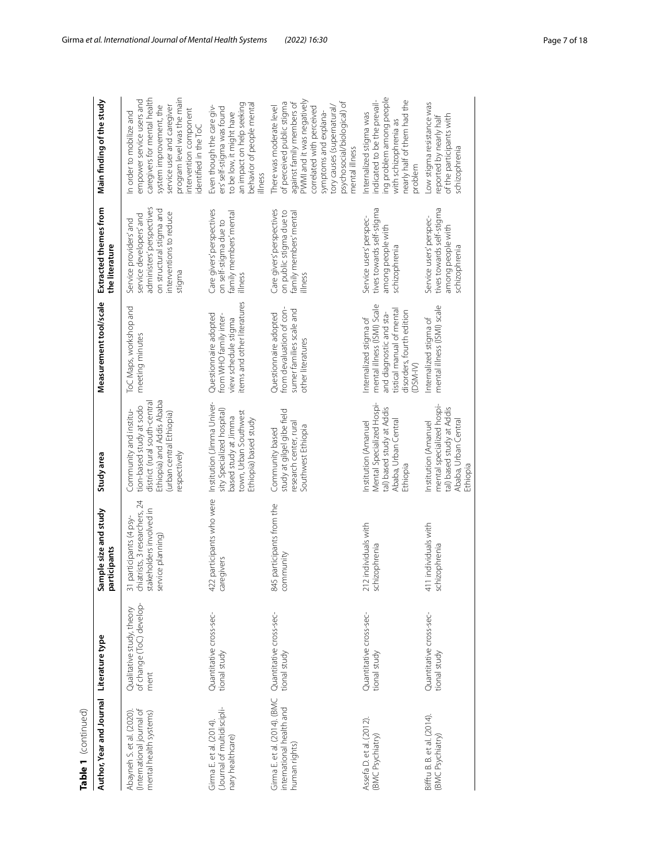| Table 1 (continued)                                                              |                                                               |                                                                                                                                      |                                                                                                                                                           |                                                                                                                                                     |                                                                                                                                                 |                                                                                                                                                                                                                                                        |
|----------------------------------------------------------------------------------|---------------------------------------------------------------|--------------------------------------------------------------------------------------------------------------------------------------|-----------------------------------------------------------------------------------------------------------------------------------------------------------|-----------------------------------------------------------------------------------------------------------------------------------------------------|-------------------------------------------------------------------------------------------------------------------------------------------------|--------------------------------------------------------------------------------------------------------------------------------------------------------------------------------------------------------------------------------------------------------|
| Author, Year and Journal Literature type                                         |                                                               | Sample size and study<br>participants                                                                                                | Study area                                                                                                                                                | Measurement tool/scale                                                                                                                              | Extracted themes from<br>the literature                                                                                                         | Main finding of the study                                                                                                                                                                                                                              |
| (International journal of<br>Abayneh S. et al. (2020).<br>mental health systems) | of change (ToC) develop-<br>Qualitative study, theory<br>ment | liatrists, 3 researchers, 24<br>stakeholders involved in<br>participants (4 psy-<br>service planning<br>$\overline{5}$<br>$\epsilon$ | Ethiopia) and Addis Ababa<br>district (rural south-centra<br>tion-based study at sodo<br>Community and institu-<br>urban central Ethiopia<br>respectively | ToC Maps, workshop and<br>meeting minutes                                                                                                           | administers' perspectives<br>on structural stigma and<br>interventions to reduce<br>service developers' and<br>Service providers' and<br>stigma | program level was the main<br>caregivers for mental health<br>empower service users and<br>service user and caregiver<br>system improvement, the<br>intervention component<br>In order to mobilize and<br>dentified in the ToC                         |
| (Journal of multidiscipli-<br>Girma E. et al. (2014)<br>healthcare)              | Quantitative cross-sec-<br>tional study                       | 422 participants who were<br>caregivers                                                                                              | Institution (Jimma Univer-<br>sity Specialized hospital<br>town, Urban Southwest<br>based study at Jimma<br>Ethiopia) based study                         | items and other literatures<br>Questionnaire adopted<br>from WHO family inter-<br>view schedule stigma                                              | Care givers' perspectives<br>family members' mental<br>on self-stigma due to<br>illness                                                         | an impact on help seeking<br>behavior of people mental<br>Even though the care giv-<br>ers' self-stigma was found<br>to be low, it might have<br>illness                                                                                               |
| Girma E. et al. (2014). (BMC<br>international health and<br>human rights)        | Quantitative cross-sec-<br>tional study                       | 845 participants from the<br>community                                                                                               | study at gilgel gibe field<br>research center, rural<br>Southwest Ethiopia<br>Community based                                                             | sumer families scale and<br>from devaluation of con-<br>Questionnaire adopted<br>other literatures                                                  | Care givers' perspectives<br>on public stigma due to<br>family members' mental<br>illness                                                       | PWMI and it was negatively<br>psychosocial/biological) of<br>of perceived public stigma<br>against family members of<br>tory causes (supernatural/<br>There was moderate level<br>correlated with perceived<br>symptoms and explana-<br>mental illness |
| Assefa D. et al. (2012).<br>(BMC Psychiatry)                                     | Quantitative cross-sec-<br>tional study                       | 212 individuals with<br>schizophrenia                                                                                                | Mental Specialized Hospi-<br>tal) based study at Addis<br>Ababa, Urban Central<br>Institution (Amanuel<br>Ethiopia                                        | mental illness (ISMI) Scale<br>tistical manual of menta<br>disorders, fourth edition<br>and diagnostic and sta-<br>Internalized stigma of<br>DSM-IV | tives towards self-stigma<br>Service users' perspec-<br>among people with<br>schizophrenia                                                      | ing problem among people<br>nearly half of them had the<br>indicated to be the prevail-<br>Internalized stigma was<br>with schizophrenia as<br>problem                                                                                                 |
| Bifftu B. B. et al. (2014).<br><b>BMC Psychiatry</b>                             | Quantitative cross-sec-<br>tional study                       | 411 individuals with<br>schizophrenia                                                                                                | mental specialized hospi-<br>tal) based study at Addis<br>Ababa, Urban Central<br>Institution (Amanuel<br>Ethiopia                                        | mental illness (ISMI) scale<br>Internalized stigma of                                                                                               | tives towards self-stigma<br>Service users' perspec-<br>among people with<br>schizophrenia                                                      | Low stigma resistance was<br>of the participants with<br>reported by nearly half<br>schizophrenia                                                                                                                                                      |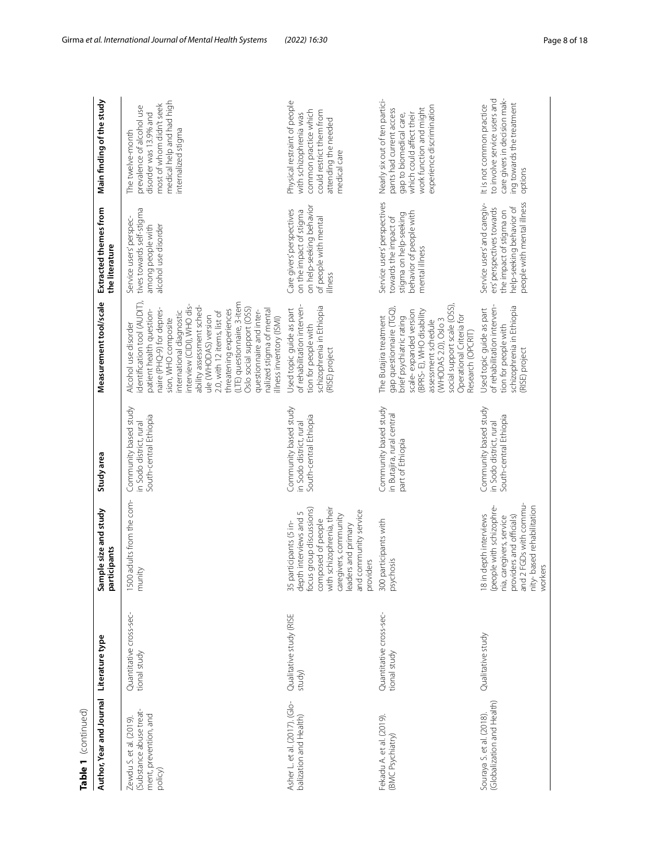| Table 1 (continued)                                                                    |                                         |                                                                                                                                                                                                                       |                                                                            |                                                                                                                                                                                                                                                                                                                                                                                                                                                          |                                                                                                                                               |                                                                                                                                                                           |
|----------------------------------------------------------------------------------------|-----------------------------------------|-----------------------------------------------------------------------------------------------------------------------------------------------------------------------------------------------------------------------|----------------------------------------------------------------------------|----------------------------------------------------------------------------------------------------------------------------------------------------------------------------------------------------------------------------------------------------------------------------------------------------------------------------------------------------------------------------------------------------------------------------------------------------------|-----------------------------------------------------------------------------------------------------------------------------------------------|---------------------------------------------------------------------------------------------------------------------------------------------------------------------------|
| Author, Year and Journal                                                               | Literature type                         | imple size and study<br>Sample size a<br>participants                                                                                                                                                                 | Study area                                                                 | Measurement tool/scale                                                                                                                                                                                                                                                                                                                                                                                                                                   | Extracted themes from<br>the literature                                                                                                       | Main finding of the study                                                                                                                                                 |
| (Substance abuse treat-<br>ment, prevention, and<br>Zewdu S. et al. (2019).<br>policy) | Quantitative cross-sec-<br>tional study | 1500 adults from the com-<br>munity                                                                                                                                                                                   | Community based study<br>South-central Ethiopia<br>in Sodo district, rural | dentification tool (AUDIT)<br>(LTE) questionnaire, 3-item<br>nterview (CIDI), WHO dis-<br>ability assessment sched-<br>Oslo social support (OSS)<br>naire (PHQ-9) for depres-<br>threatening experiences<br>nalized stigma of mental<br>patient health question-<br>2.0, with 12 items, list of<br>questionnaire and inter-<br>nternational diagnostic<br>ule (WHODAS) version<br>Ilness inventory (ISMI)<br>sion, WHO composite<br>Alcohol use disorder | tives towards self-stigma<br>Service users' perspec-<br>among people with<br>alcohol use disorder                                             | medical help and had high<br>most of whom didn't seek<br>prevalence of alcohol use<br>disorder was 13.9% and<br>internalized stigma<br>The twelve-month                   |
| Asher L. et al. (2017). (Glo-<br>balization and Health)                                | Qualitative study (RISE<br>study)       | 35 participants (5 in-<br>depth interviews and 5<br>focus group discussions)<br>with schizophrenia, their<br>and community service<br>caregivers, community<br>leaders and primary<br>composed of people<br>providers | Community based study<br>South-central Ethiopia<br>in Sodo district, rural | of rehabilitation interven-<br>schizophrenia in Ethiopia<br>Used topic guide as part<br>tion for people with<br>RISE) project                                                                                                                                                                                                                                                                                                                            | on help-seeking behavior<br>Care givers' perspectives<br>on the impact of stigma<br>of people with mental<br>illness                          | Physical restraint of people<br>common practice which<br>could restrict them from<br>with schizophrenia was<br>attending the needed<br>medical care                       |
| Fekadu A. et al. (2019).<br>(BMC Psychiatry)                                           | Quantitative cross-sec-<br>tional study | 300 participants with<br>psychosis                                                                                                                                                                                    | Community based study<br>in Butajira, rural central<br>part of Ethiopia    | social support scale (OSS)<br>gap questionnaire (TGQ),<br>(BPRS-E), WHO disability<br>scale-expanded version<br>Operational Criteria for<br>brief psychiatric rating<br>The Butajira treatment<br>WHODAS 2.0), Oslo 3<br>assessment schedule<br>Research (OPCRIT)                                                                                                                                                                                        | Service users' perspectives<br>behavior of people with<br>stigma on help-seeking<br>towards the impact of<br>mental illness                   | Nearly six out of ten partici-<br>experience discrimination<br>work function and might<br>pants had current access<br>which could affect their<br>gap to biomedical care, |
| (Globalization and Health)<br>Souraya S. et al. (2018).                                | Qualitative study                       | providers and officials)<br>and 2 FGDs with commu-<br>nity- based rehabilitation<br>workers<br>18 in depth interviews<br>(people with schizophre-<br>nia, caregivers, service                                         | Community based study<br>South-central Ethiopia<br>in Sodo district, rural | of rehabilitation interven-<br>schizophrenia in Ethiopia<br>Used topic guide as part<br>tion for people with<br>RISE) project                                                                                                                                                                                                                                                                                                                            | people with mental illness<br>Service users' and caregiv-<br>help-seeking behavior of<br>ers' perspectives towards<br>the impact of stigma on | care givers in decision mak-<br>to involve service users and<br>ing towards the treatment<br>It is not common practice<br>options                                         |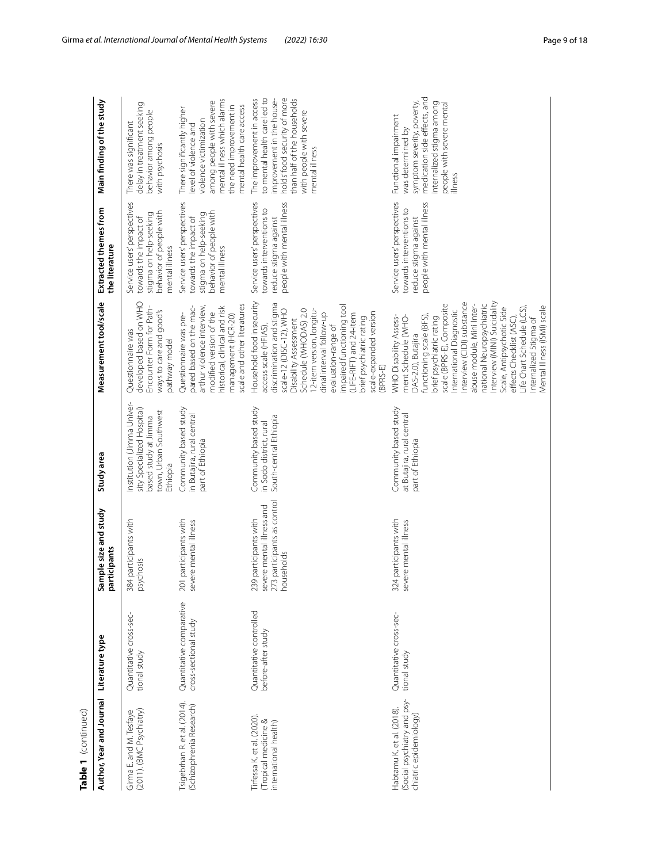| Table 1 (continued)                                                                |                                                   |                                                                                                 |                                                                                                                       |                                                                                                                                                                                                                                                                                                                                                                                                                                                          |                                                                                                                             |                                                                                                                                                                                                    |
|------------------------------------------------------------------------------------|---------------------------------------------------|-------------------------------------------------------------------------------------------------|-----------------------------------------------------------------------------------------------------------------------|----------------------------------------------------------------------------------------------------------------------------------------------------------------------------------------------------------------------------------------------------------------------------------------------------------------------------------------------------------------------------------------------------------------------------------------------------------|-----------------------------------------------------------------------------------------------------------------------------|----------------------------------------------------------------------------------------------------------------------------------------------------------------------------------------------------|
| Author, Year and Journal                                                           | Literature type                                   | Sample size and study<br>participants                                                           | Study area                                                                                                            | Measurement tool/scale                                                                                                                                                                                                                                                                                                                                                                                                                                   | Extracted themes from<br>the literature                                                                                     | Main finding of the study                                                                                                                                                                          |
| (2011). (BMC Psychiatry)<br>Girma E. and M. Tesfaye                                | Quantitative cross-sec-<br>tional study           | 384 participants with<br>psychosis                                                              | Institution (Jimma Univer-<br>sity Specialized Hospital)<br>town, Urban Southwest<br>based study at Jimma<br>Ethiopia | developed based on WHO<br>Encounter Form for Path-<br>ways to care and good's<br>Questionnaire was<br>pathway model                                                                                                                                                                                                                                                                                                                                      | Service users' perspectives<br>behavior of people with<br>stigma on help-seeking<br>towards the impact of<br>mental illness | delay in treatment seeking<br>behavior among people<br>There was significant<br>with psychosis                                                                                                     |
| Tsigebrhan R. et al. (2014).<br>(Schizophrenia Research)                           | Quantitative comparative<br>cross-sectional study | 201 participants with<br>severe mental illness                                                  | Community based study<br>in Butajira, rural central<br>part of Ethiopia                                               | scale and other literatures<br>arthur violence interview,<br>pared based on the mac-<br>nistorical, clinical and risk<br>modified version of the<br>Questionnaire was pre-<br>management (HCR-20)                                                                                                                                                                                                                                                        | Service users' perspectives<br>behavior of people with<br>stigma on help-seeking<br>towards the impact of<br>mental illness | mental illness which alarms<br>among people with severe<br>the need improvement in<br>mental health care access<br>There significantly higher<br>violence victimization<br>level of violence and   |
| Tirfessa K. et al. (2020)<br>(Tropical medicine &<br>international health)         | Quantitative controlled<br>before-after study     | 273 participants as control<br>severe mental illness and<br>239 participants with<br>households | Community based study<br>South-central Ethiopia<br>in Sodo district, rural                                            | Household food insecurity<br>discrimination and stigma<br>mpaired functioning tool<br>2-item version, longitu-<br>Schedule (WHODAS) 2.0<br>scale-12 (DISC-12), WHO<br>scale-expanded version<br>dinal interval follow-up<br>(LIFE-RIFT) and 24-item<br>brief psychiatric rating<br>Disability Assessment<br>evaluation-range of<br>access scale (HFIAS)<br>(BPRS-E)                                                                                      | people with mental illness<br>Service users' perspectives<br>towards interventions to<br>reduce stigma against              | than half of the households<br>to mental health care led to<br>holds' food security of more<br>improvement in the house-<br>The improvement in access<br>with people with severe<br>mental illness |
| (Social psychiatry and psy-<br>Habtamu K. et al. (2018).<br>chiatric epidemiology) | Quantitative cross-sec-<br>tional study           | 324 participants with<br>severe mental illness                                                  | Community based study<br>at Butajira, rural central<br>part of Ethiopia                                               | Interview (CIDI) substance<br>Interview (MINI) Suicidality<br>scale (BPRS-E), Composite<br>national Neuropsychiatric<br>abuse module, Mini Inter-<br>Mental Illness (ISMI) scale<br>Scale, Antipsychotic Side<br>Life Chart Schedule (LCS),<br>nternational Diagnostic<br>effects Checklist (ASC),<br>WHO Disability Assess-<br>unctioning scale (BFS)<br>ment Schedule (WHO-<br>orief psychiatric rating<br>nternalized Stigma of<br>DAS-2.0), Butajira | Service users' perspectives<br>people with mental illness<br>towards interventions to<br>reduce stigma against              | medication side effects, and<br>symptom severity, poverty,<br>internalized stigma among<br>people with severe mental<br>Functional impairment<br>was determined by<br>illness                      |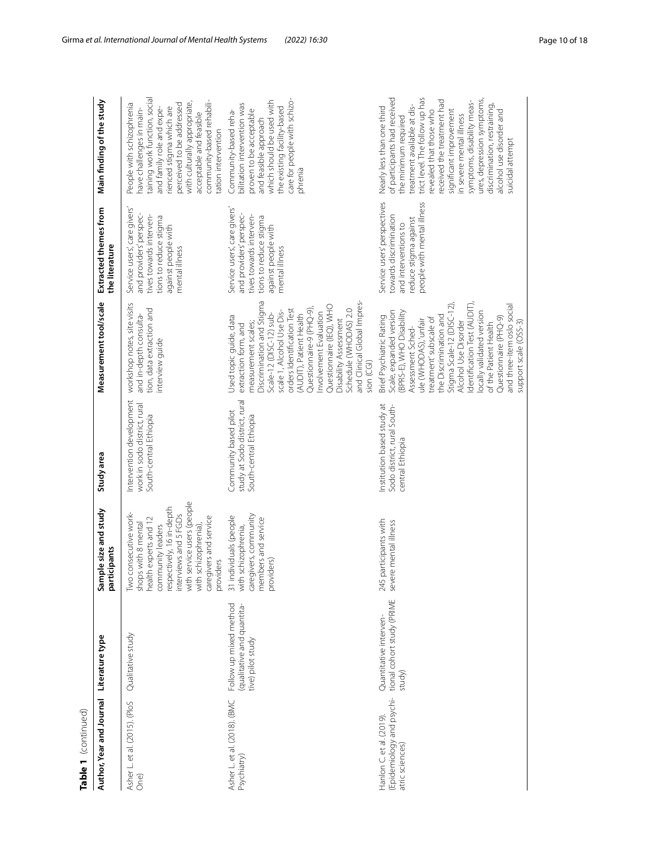| Table 1 (continued)                                                     |                                                                           |                                                                                                                                                                                                                                               |                                                                                    |                                                                                                                                                                                                                                                                                                                                                                                                          |                                                                                                                                                       |                                                                                                                                                                                                                                                                                                                                                                                                               |
|-------------------------------------------------------------------------|---------------------------------------------------------------------------|-----------------------------------------------------------------------------------------------------------------------------------------------------------------------------------------------------------------------------------------------|------------------------------------------------------------------------------------|----------------------------------------------------------------------------------------------------------------------------------------------------------------------------------------------------------------------------------------------------------------------------------------------------------------------------------------------------------------------------------------------------------|-------------------------------------------------------------------------------------------------------------------------------------------------------|---------------------------------------------------------------------------------------------------------------------------------------------------------------------------------------------------------------------------------------------------------------------------------------------------------------------------------------------------------------------------------------------------------------|
| Author, Year and Journal                                                | Literature type                                                           | mple size and study<br>participants<br>నే                                                                                                                                                                                                     | Study area                                                                         | Measurement tool/scale                                                                                                                                                                                                                                                                                                                                                                                   | Extracted themes from<br>the literature                                                                                                               | Main finding of the study                                                                                                                                                                                                                                                                                                                                                                                     |
| Asher L. et al. (2015). (PloS<br>One)                                   | Qualitative study                                                         | interviews and 5 FGDs<br>with service users (people<br>with schizophrenia),<br>respectively, 16 in-depth<br>Two consecutive work-<br>shops with 8 mental<br>caregivers and service<br>health experts and 12<br>community leaders<br>providers | Intervention development<br>work in sodo district, rural<br>South-central Ethiopia | workshop notes, site visits<br>tion, data extraction and<br>and in-depth consulta-<br>interview guide                                                                                                                                                                                                                                                                                                    | Service users, care givers'<br>and providers' perspec-<br>tives towards interven-<br>tions to reduce stigma<br>against people with<br>mental illness  | taining work function, social<br>community-based rehabili-<br>with culturally appropriate,<br>People with schizophrenia<br>perceived to be addressed<br>nave challenges in main-<br>rienced stigma which are<br>and family role and expe-<br>acceptable and feasible<br>ation intervention                                                                                                                    |
| Asher L. et al. (2018). (BMC<br>Psychiatry)                             | Follow up mixed method<br>(qualitative and quantita-<br>tive) pilot study | caregivers, community<br>31 individuals (people<br>members and service<br>with schizophrenia,<br>providers)                                                                                                                                   | study at Sodo district, rural<br>Community based pilot<br>South-central Ethiopia   | Discrimination and Stigma<br>and Clinical Global Impres-<br>Questionnaire (IEQ), WHO<br>Questionnaire-9 (PHQ-9).<br>Schedule (WHODAS) 2.0<br>orders Identification Test<br>scale 1, Alcohol Use Dis-<br>nvolvement Evaluation<br>Scale-12 (DISC-12) sub-<br>(AUDIT), Patient Health<br>Used topic guide, data<br>Disability Assessment<br>measurement scales;<br>extraction form, and<br>sion (CGI)      | Service users', care givers'<br>and providers' perspec-<br>tives towards interven-<br>tions to reduce stigma<br>against people with<br>mental illness | care for people with schizo-<br>which should be used with<br>pilitation intervention was<br>the existing facility-based<br>proven to be acceptable<br>Community-based reha-<br>and feasible approach<br>ohrenia                                                                                                                                                                                               |
| (Epidemiology and psychi-<br>Hanlon C. et al. (2019)<br>atric sciences) | tional cohort study (PRIME<br>Quantitative interven-<br>study)            | 245 participants with<br>severe mental illness                                                                                                                                                                                                | Institution based study at<br>Sodo district, rural South-<br>central Ethiopia      | Stigma Scale-12 (DISC-12),<br>dentification Test (AUDIT)<br>and three-item oslo social<br>Scale, expanded version<br>BPRS-E), WHO Disability<br>locally validated version<br>the Discrimination and<br>Brief Psychiatric Rating<br>Questionnaire (PHQ-9)<br>treatment'subscale of<br>ule (WHODAS),'unfair<br>support scale (OSS-3)<br>Alcohol Use Disorder<br>of the Patient Health<br>Assessment Sched- | people with mental illness<br>Service users' perspectives<br>towards discrimination<br>reduce stigma against<br>and interventions to                  | trict level. The follow up has<br>of participants had received<br>ures, depression symptoms,<br>received the treatment had<br>symptoms, disability meas-<br>discrimination, restraining,<br>treatment available at dis-<br>Nearly less than one third<br>evealed that those who<br>significant improvement<br>alcohol use disorder and<br>n severe mental illness<br>the minimum required<br>suicidal attempt |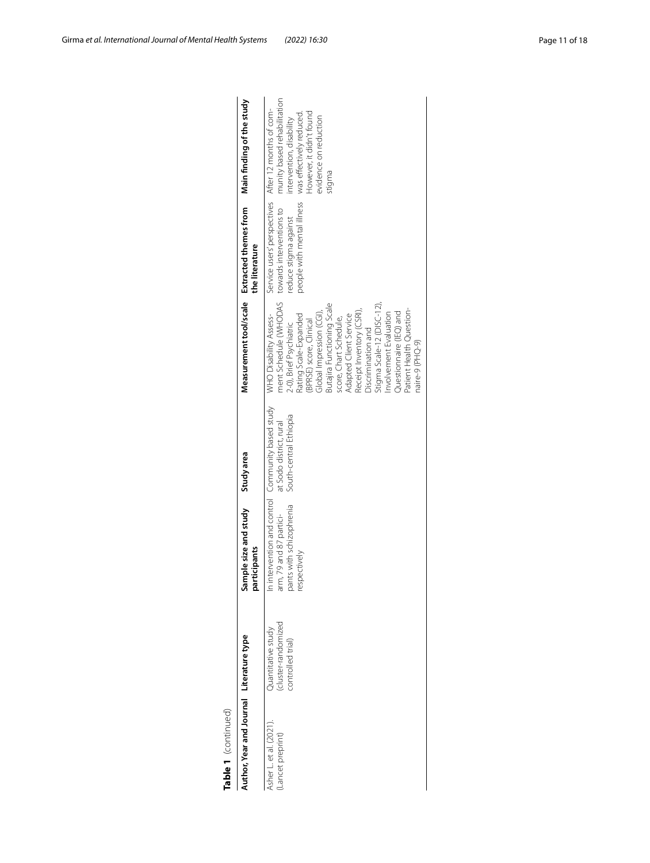| Table 1 (continued)                       |                                                               |                                                                     |                                                                                                        |                                                                                                                                                                                                                                                                                                                                                                                                                                   |                                                                                                                |                                                                                                                                                                              |
|-------------------------------------------|---------------------------------------------------------------|---------------------------------------------------------------------|--------------------------------------------------------------------------------------------------------|-----------------------------------------------------------------------------------------------------------------------------------------------------------------------------------------------------------------------------------------------------------------------------------------------------------------------------------------------------------------------------------------------------------------------------------|----------------------------------------------------------------------------------------------------------------|------------------------------------------------------------------------------------------------------------------------------------------------------------------------------|
| Author, Year and Journal Literature type  |                                                               | Sample size and study<br>articipants                                | Study area                                                                                             |                                                                                                                                                                                                                                                                                                                                                                                                                                   | Measurement tool/scale Extracted themes from<br>the literature                                                 | Main finding of the study                                                                                                                                                    |
| Asher L et al. (2021)<br>Lancet preprint) | cluster-randomized<br>Quantitative study<br>controlled trial) | pants with schizophrenia<br>arm, 79 and 87 partici-<br>respectively | In intervention and control Community based study<br>South-central Ethiopia<br>at Sodo district, rural | ment Schedule (WHODAS<br>Butajira Functioning Scale<br>$Stigma$ Scale-12 (DISC-12).<br>Patient Health Question-<br>Receipt Inventory (CSRI),<br>Questionnaire (IEQ) and<br>nvolvement Evaluation<br>Global Impression (CGI)<br>Adapted Client Service<br>Rating Scale-Expanded<br>WHO Disability Assess-<br>score, Chart Schedule,<br>(BPRSE) score, Clinical<br>2.0), Brief Psychiatric<br>Discrimination and<br>naire-9 (PHQ-9) | Service users' perspectives<br>people with mental illness<br>towards interventions to<br>reduce stigma against | munity based rehabilitation<br>After 12 months of com-<br>However, it didn't found<br>was effectively reduced<br>evidence on reduction<br>intervention, disability<br>stigma |
|                                           |                                                               |                                                                     |                                                                                                        |                                                                                                                                                                                                                                                                                                                                                                                                                                   |                                                                                                                |                                                                                                                                                                              |

| Ł |
|---|
|   |
|   |
|   |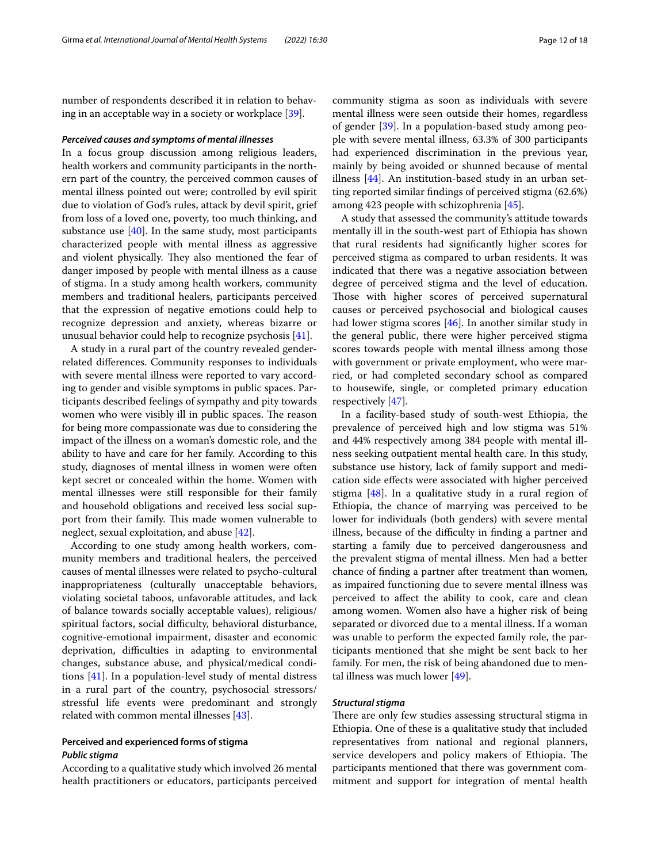number of respondents described it in relation to behaving in an acceptable way in a society or workplace [\[39\]](#page-16-12).

#### *Perceived causes and symptoms of mental illnesses*

In a focus group discussion among religious leaders, health workers and community participants in the northern part of the country, the perceived common causes of mental illness pointed out were; controlled by evil spirit due to violation of God's rules, attack by devil spirit, grief from loss of a loved one, poverty, too much thinking, and substance use [\[40\]](#page-16-13). In the same study, most participants characterized people with mental illness as aggressive and violent physically. They also mentioned the fear of danger imposed by people with mental illness as a cause of stigma. In a study among health workers, community members and traditional healers, participants perceived that the expression of negative emotions could help to recognize depression and anxiety, whereas bizarre or unusual behavior could help to recognize psychosis [\[41\]](#page-16-14).

A study in a rural part of the country revealed genderrelated diferences. Community responses to individuals with severe mental illness were reported to vary according to gender and visible symptoms in public spaces. Participants described feelings of sympathy and pity towards women who were visibly ill in public spaces. The reason for being more compassionate was due to considering the impact of the illness on a woman's domestic role, and the ability to have and care for her family. According to this study, diagnoses of mental illness in women were often kept secret or concealed within the home. Women with mental illnesses were still responsible for their family and household obligations and received less social support from their family. This made women vulnerable to neglect, sexual exploitation, and abuse [\[42](#page-16-15)].

According to one study among health workers, community members and traditional healers, the perceived causes of mental illnesses were related to psycho-cultural inappropriateness (culturally unacceptable behaviors, violating societal taboos, unfavorable attitudes, and lack of balance towards socially acceptable values), religious/ spiritual factors, social difficulty, behavioral disturbance, cognitive-emotional impairment, disaster and economic deprivation, difficulties in adapting to environmental changes, substance abuse, and physical/medical conditions [\[41](#page-16-14)]. In a population-level study of mental distress in a rural part of the country, psychosocial stressors/ stressful life events were predominant and strongly related with common mental illnesses [\[43](#page-16-16)].

# **Perceived and experienced forms of stigma** *Public stigma*

According to a qualitative study which involved 26 mental health practitioners or educators, participants perceived community stigma as soon as individuals with severe mental illness were seen outside their homes, regardless of gender [\[39](#page-16-12)]. In a population-based study among people with severe mental illness, 63.3% of 300 participants had experienced discrimination in the previous year, mainly by being avoided or shunned because of mental illness [[44\]](#page-16-17). An institution-based study in an urban setting reported similar fndings of perceived stigma (62.6%) among 423 people with schizophrenia [\[45](#page-16-18)].

A study that assessed the community's attitude towards mentally ill in the south-west part of Ethiopia has shown that rural residents had signifcantly higher scores for perceived stigma as compared to urban residents. It was indicated that there was a negative association between degree of perceived stigma and the level of education. Those with higher scores of perceived supernatural causes or perceived psychosocial and biological causes had lower stigma scores [[46\]](#page-16-19). In another similar study in the general public, there were higher perceived stigma scores towards people with mental illness among those with government or private employment, who were married, or had completed secondary school as compared to housewife, single, or completed primary education respectively [[47](#page-16-20)].

In a facility-based study of south-west Ethiopia, the prevalence of perceived high and low stigma was 51% and 44% respectively among 384 people with mental illness seeking outpatient mental health care. In this study, substance use history, lack of family support and medication side efects were associated with higher perceived stigma [\[48](#page-16-21)]. In a qualitative study in a rural region of Ethiopia, the chance of marrying was perceived to be lower for individuals (both genders) with severe mental illness, because of the difficulty in finding a partner and starting a family due to perceived dangerousness and the prevalent stigma of mental illness. Men had a better chance of fnding a partner after treatment than women, as impaired functioning due to severe mental illness was perceived to afect the ability to cook, care and clean among women. Women also have a higher risk of being separated or divorced due to a mental illness. If a woman was unable to perform the expected family role, the participants mentioned that she might be sent back to her family. For men, the risk of being abandoned due to mental illness was much lower [[49](#page-16-22)].

#### *Structural stigma*

There are only few studies assessing structural stigma in Ethiopia. One of these is a qualitative study that included representatives from national and regional planners, service developers and policy makers of Ethiopia. The participants mentioned that there was government commitment and support for integration of mental health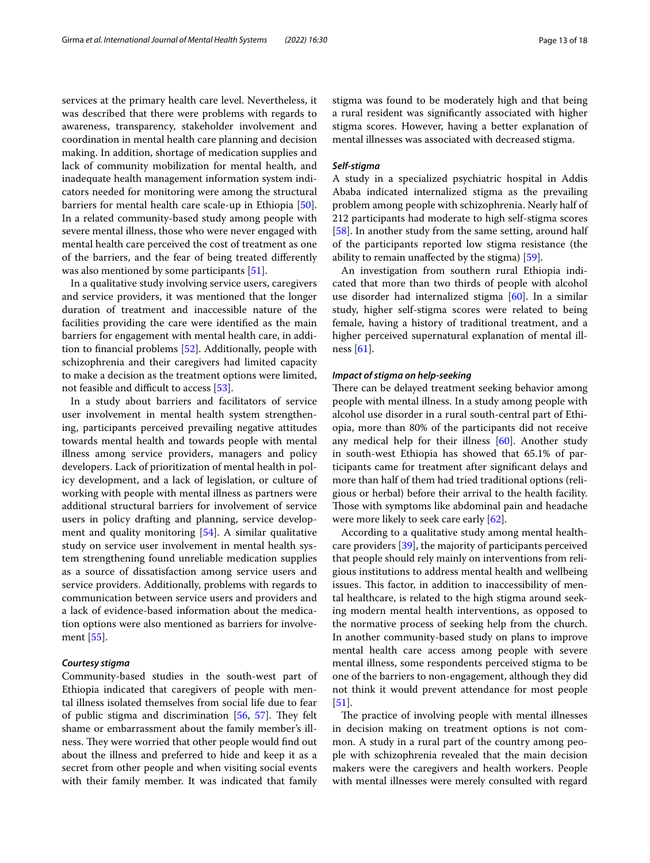services at the primary health care level. Nevertheless, it was described that there were problems with regards to awareness, transparency, stakeholder involvement and coordination in mental health care planning and decision making. In addition, shortage of medication supplies and lack of community mobilization for mental health, and inadequate health management information system indicators needed for monitoring were among the structural barriers for mental health care scale-up in Ethiopia [\[50](#page-16-23)]. In a related community-based study among people with severe mental illness, those who were never engaged with mental health care perceived the cost of treatment as one of the barriers, and the fear of being treated diferently was also mentioned by some participants [[51\]](#page-16-24).

In a qualitative study involving service users, caregivers and service providers, it was mentioned that the longer duration of treatment and inaccessible nature of the facilities providing the care were identifed as the main barriers for engagement with mental health care, in addition to fnancial problems [\[52\]](#page-16-25). Additionally, people with schizophrenia and their caregivers had limited capacity to make a decision as the treatment options were limited, not feasible and difficult to access [[53\]](#page-16-26).

In a study about barriers and facilitators of service user involvement in mental health system strengthening, participants perceived prevailing negative attitudes towards mental health and towards people with mental illness among service providers, managers and policy developers. Lack of prioritization of mental health in policy development, and a lack of legislation, or culture of working with people with mental illness as partners were additional structural barriers for involvement of service users in policy drafting and planning, service development and quality monitoring [[54\]](#page-16-27). A similar qualitative study on service user involvement in mental health system strengthening found unreliable medication supplies as a source of dissatisfaction among service users and service providers. Additionally, problems with regards to communication between service users and providers and a lack of evidence-based information about the medication options were also mentioned as barriers for involvement [\[55](#page-16-28)].

#### *Courtesy stigma*

Community-based studies in the south-west part of Ethiopia indicated that caregivers of people with mental illness isolated themselves from social life due to fear of public stigma and discrimination  $[56, 57]$  $[56, 57]$  $[56, 57]$  $[56, 57]$ . They felt shame or embarrassment about the family member's illness. They were worried that other people would find out about the illness and preferred to hide and keep it as a secret from other people and when visiting social events with their family member. It was indicated that family stigma was found to be moderately high and that being a rural resident was signifcantly associated with higher stigma scores. However, having a better explanation of mental illnesses was associated with decreased stigma.

#### *Self‑stigma*

A study in a specialized psychiatric hospital in Addis Ababa indicated internalized stigma as the prevailing problem among people with schizophrenia. Nearly half of 212 participants had moderate to high self-stigma scores [[58\]](#page-16-31). In another study from the same setting, around half of the participants reported low stigma resistance (the ability to remain unafected by the stigma) [[59](#page-16-32)].

An investigation from southern rural Ethiopia indicated that more than two thirds of people with alcohol use disorder had internalized stigma [[60\]](#page-16-33). In a similar study, higher self-stigma scores were related to being female, having a history of traditional treatment, and a higher perceived supernatural explanation of mental illness [[61\]](#page-16-34).

#### *Impact of stigma on help‑seeking*

There can be delayed treatment seeking behavior among people with mental illness. In a study among people with alcohol use disorder in a rural south-central part of Ethiopia, more than 80% of the participants did not receive any medical help for their illness [\[60](#page-16-33)]. Another study in south-west Ethiopia has showed that 65.1% of participants came for treatment after signifcant delays and more than half of them had tried traditional options (religious or herbal) before their arrival to the health facility. Those with symptoms like abdominal pain and headache were more likely to seek care early [\[62](#page-16-35)].

According to a qualitative study among mental healthcare providers [\[39](#page-16-12)], the majority of participants perceived that people should rely mainly on interventions from religious institutions to address mental health and wellbeing issues. This factor, in addition to inaccessibility of mental healthcare, is related to the high stigma around seeking modern mental health interventions, as opposed to the normative process of seeking help from the church. In another community-based study on plans to improve mental health care access among people with severe mental illness, some respondents perceived stigma to be one of the barriers to non-engagement, although they did not think it would prevent attendance for most people [[51\]](#page-16-24).

The practice of involving people with mental illnesses in decision making on treatment options is not common. A study in a rural part of the country among people with schizophrenia revealed that the main decision makers were the caregivers and health workers. People with mental illnesses were merely consulted with regard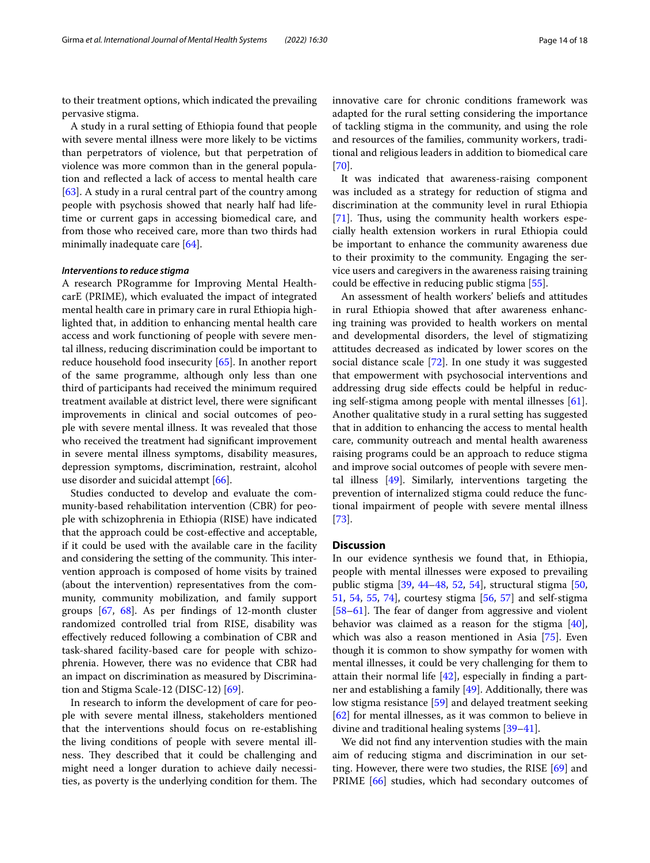to their treatment options, which indicated the prevailing pervasive stigma.

A study in a rural setting of Ethiopia found that people with severe mental illness were more likely to be victims than perpetrators of violence, but that perpetration of violence was more common than in the general population and refected a lack of access to mental health care [[63\]](#page-17-0). A study in a rural central part of the country among people with psychosis showed that nearly half had lifetime or current gaps in accessing biomedical care, and from those who received care, more than two thirds had minimally inadequate care [\[64](#page-17-1)].

#### *Interventions to reduce stigma*

A research PRogramme for Improving Mental HealthcarE (PRIME), which evaluated the impact of integrated mental health care in primary care in rural Ethiopia highlighted that, in addition to enhancing mental health care access and work functioning of people with severe mental illness, reducing discrimination could be important to reduce household food insecurity [\[65](#page-17-2)]. In another report of the same programme, although only less than one third of participants had received the minimum required treatment available at district level, there were signifcant improvements in clinical and social outcomes of people with severe mental illness. It was revealed that those who received the treatment had signifcant improvement in severe mental illness symptoms, disability measures, depression symptoms, discrimination, restraint, alcohol use disorder and suicidal attempt [[66](#page-17-3)].

Studies conducted to develop and evaluate the community-based rehabilitation intervention (CBR) for people with schizophrenia in Ethiopia (RISE) have indicated that the approach could be cost-efective and acceptable, if it could be used with the available care in the facility and considering the setting of the community. This intervention approach is composed of home visits by trained (about the intervention) representatives from the community, community mobilization, and family support groups [\[67](#page-17-4), [68](#page-17-5)]. As per fndings of 12-month cluster randomized controlled trial from RISE, disability was efectively reduced following a combination of CBR and task-shared facility-based care for people with schizophrenia. However, there was no evidence that CBR had an impact on discrimination as measured by Discrimination and Stigma Scale-12 (DISC-12) [\[69\]](#page-17-6).

In research to inform the development of care for people with severe mental illness, stakeholders mentioned that the interventions should focus on re-establishing the living conditions of people with severe mental illness. They described that it could be challenging and might need a longer duration to achieve daily necessities, as poverty is the underlying condition for them. The innovative care for chronic conditions framework was adapted for the rural setting considering the importance of tackling stigma in the community, and using the role and resources of the families, community workers, traditional and religious leaders in addition to biomedical care [[70\]](#page-17-7).

It was indicated that awareness-raising component was included as a strategy for reduction of stigma and discrimination at the community level in rural Ethiopia [[71\]](#page-17-8). Thus, using the community health workers especially health extension workers in rural Ethiopia could be important to enhance the community awareness due to their proximity to the community. Engaging the service users and caregivers in the awareness raising training could be efective in reducing public stigma [\[55](#page-16-28)].

An assessment of health workers' beliefs and attitudes in rural Ethiopia showed that after awareness enhancing training was provided to health workers on mental and developmental disorders, the level of stigmatizing attitudes decreased as indicated by lower scores on the social distance scale [\[72](#page-17-9)]. In one study it was suggested that empowerment with psychosocial interventions and addressing drug side effects could be helpful in reducing self-stigma among people with mental illnesses [\[61](#page-16-34)]. Another qualitative study in a rural setting has suggested that in addition to enhancing the access to mental health care, community outreach and mental health awareness raising programs could be an approach to reduce stigma and improve social outcomes of people with severe mental illness [\[49\]](#page-16-22). Similarly, interventions targeting the prevention of internalized stigma could reduce the functional impairment of people with severe mental illness [[73\]](#page-17-10).

#### **Discussion**

In our evidence synthesis we found that, in Ethiopia, people with mental illnesses were exposed to prevailing public stigma [[39](#page-16-12), [44](#page-16-17)–[48,](#page-16-21) [52](#page-16-25), [54](#page-16-27)], structural stigma [[50](#page-16-23), [51,](#page-16-24) [54](#page-16-27), [55,](#page-16-28) [74\]](#page-17-11), courtesy stigma [[56,](#page-16-29) [57](#page-16-30)] and self-stigma  $[58-61]$  $[58-61]$ . The fear of danger from aggressive and violent behavior was claimed as a reason for the stigma [\[40](#page-16-13)], which was also a reason mentioned in Asia [\[75](#page-17-12)]. Even though it is common to show sympathy for women with mental illnesses, it could be very challenging for them to attain their normal life [[42\]](#page-16-15), especially in fnding a partner and establishing a family [\[49\]](#page-16-22). Additionally, there was low stigma resistance [\[59\]](#page-16-32) and delayed treatment seeking [[62\]](#page-16-35) for mental illnesses, as it was common to believe in divine and traditional healing systems [\[39](#page-16-12)[–41\]](#page-16-14).

We did not fnd any intervention studies with the main aim of reducing stigma and discrimination in our set-ting. However, there were two studies, the RISE [[69](#page-17-6)] and PRIME [[66](#page-17-3)] studies, which had secondary outcomes of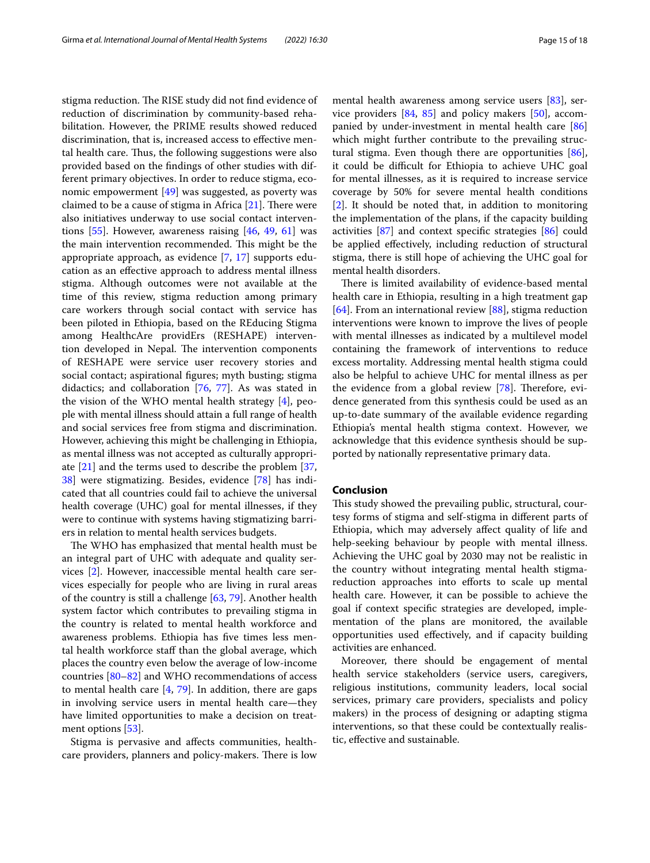stigma reduction. The RISE study did not find evidence of reduction of discrimination by community-based rehabilitation. However, the PRIME results showed reduced discrimination, that is, increased access to efective mental health care. Thus, the following suggestions were also provided based on the fndings of other studies with different primary objectives. In order to reduce stigma, economic empowerment [\[49\]](#page-16-22) was suggested, as poverty was claimed to be a cause of stigma in Africa  $[21]$  $[21]$ . There were also initiatives underway to use social contact interventions  $[55]$ . However, awareness raising  $[46, 49, 61]$  $[46, 49, 61]$  $[46, 49, 61]$  $[46, 49, 61]$  $[46, 49, 61]$  was the main intervention recommended. This might be the appropriate approach, as evidence [\[7](#page-15-5), [17\]](#page-15-15) supports education as an efective approach to address mental illness stigma. Although outcomes were not available at the time of this review, stigma reduction among primary care workers through social contact with service has been piloted in Ethiopia, based on the REducing Stigma among HealthcAre providErs (RESHAPE) intervention developed in Nepal. The intervention components of RESHAPE were service user recovery stories and social contact; aspirational fgures; myth busting; stigma didactics; and collaboration [[76](#page-17-13), [77](#page-17-14)]. As was stated in the vision of the WHO mental health strategy [[4\]](#page-15-2), people with mental illness should attain a full range of health and social services free from stigma and discrimination. However, achieving this might be challenging in Ethiopia, as mental illness was not accepted as culturally appropriate [[21\]](#page-15-18) and the terms used to describe the problem [\[37](#page-16-10), [38\]](#page-16-11) were stigmatizing. Besides, evidence [[78](#page-17-15)] has indicated that all countries could fail to achieve the universal health coverage (UHC) goal for mental illnesses, if they were to continue with systems having stigmatizing barriers in relation to mental health services budgets.

The WHO has emphasized that mental health must be an integral part of UHC with adequate and quality services [[2\]](#page-15-1). However, inaccessible mental health care services especially for people who are living in rural areas of the country is still a challenge [\[63](#page-17-0), [79\]](#page-17-16). Another health system factor which contributes to prevailing stigma in the country is related to mental health workforce and awareness problems. Ethiopia has fve times less mental health workforce staff than the global average, which places the country even below the average of low-income countries [[80](#page-17-17)[–82](#page-17-18)] and WHO recommendations of access to mental health care [[4,](#page-15-2) [79](#page-17-16)]. In addition, there are gaps in involving service users in mental health care—they have limited opportunities to make a decision on treatment options [[53](#page-16-26)].

Stigma is pervasive and afects communities, healthcare providers, planners and policy-makers. There is low mental health awareness among service users [\[83\]](#page-17-19), service providers [[84,](#page-17-20) [85\]](#page-17-21) and policy makers [\[50\]](#page-16-23), accompanied by under-investment in mental health care [[86](#page-17-22)] which might further contribute to the prevailing struc-tural stigma. Even though there are opportunities [\[86](#page-17-22)], it could be difficult for Ethiopia to achieve UHC goal for mental illnesses, as it is required to increase service coverage by 50% for severe mental health conditions [[2\]](#page-15-1). It should be noted that, in addition to monitoring the implementation of the plans, if the capacity building activities [\[87\]](#page-17-23) and context specifc strategies [[86\]](#page-17-22) could be applied efectively, including reduction of structural stigma, there is still hope of achieving the UHC goal for mental health disorders.

There is limited availability of evidence-based mental health care in Ethiopia, resulting in a high treatment gap [[64\]](#page-17-1). From an international review [\[88\]](#page-17-24), stigma reduction interventions were known to improve the lives of people with mental illnesses as indicated by a multilevel model containing the framework of interventions to reduce excess mortality. Addressing mental health stigma could also be helpful to achieve UHC for mental illness as per the evidence from a global review  $[78]$  $[78]$ . Therefore, evidence generated from this synthesis could be used as an up-to-date summary of the available evidence regarding Ethiopia's mental health stigma context. However, we acknowledge that this evidence synthesis should be supported by nationally representative primary data.

# **Conclusion**

This study showed the prevailing public, structural, courtesy forms of stigma and self-stigma in diferent parts of Ethiopia, which may adversely afect quality of life and help-seeking behaviour by people with mental illness. Achieving the UHC goal by 2030 may not be realistic in the country without integrating mental health stigmareduction approaches into efforts to scale up mental health care. However, it can be possible to achieve the goal if context specifc strategies are developed, implementation of the plans are monitored, the available opportunities used efectively, and if capacity building activities are enhanced.

Moreover, there should be engagement of mental health service stakeholders (service users, caregivers, religious institutions, community leaders, local social services, primary care providers, specialists and policy makers) in the process of designing or adapting stigma interventions, so that these could be contextually realistic, efective and sustainable.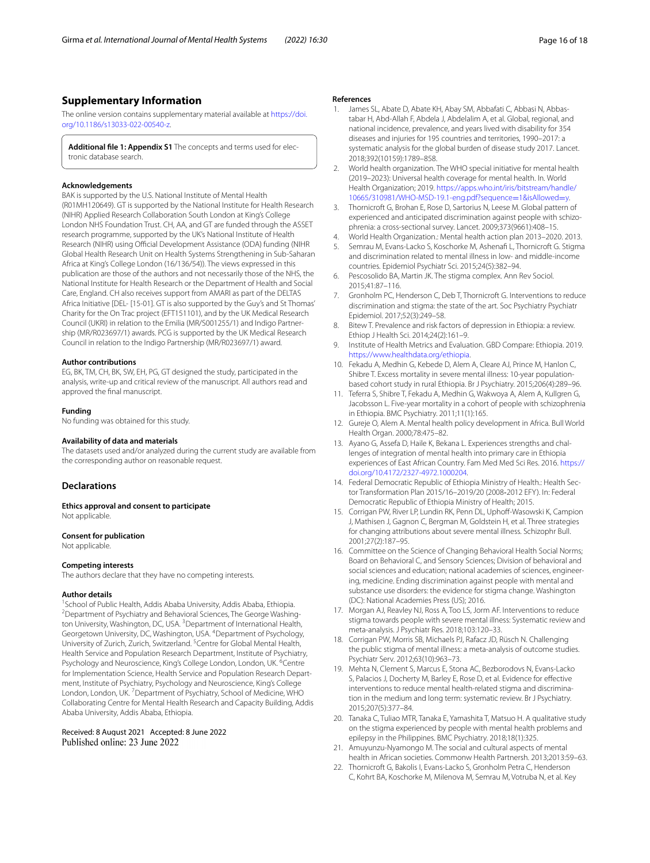# **Supplementary Information**

The online version contains supplementary material available at [https://doi.](https://doi.org/10.1186/s13033-022-00540-z) [org/10.1186/s13033-022-00540-z.](https://doi.org/10.1186/s13033-022-00540-z)

<span id="page-15-21"></span>**Additional fle 1: Appendix S1** The concepts and terms used for electronic database search.

#### **Acknowledgements**

BAK is supported by the U.S. National Institute of Mental Health (R01MH120649). GT is supported by the National Institute for Health Research (NIHR) Applied Research Collaboration South London at King's College London NHS Foundation Trust. CH, AA, and GT are funded through the ASSET research programme, supported by the UK's National Institute of Health Research (NIHR) using Official Development Assistance (ODA) funding (NIHR Global Health Research Unit on Health Systems Strengthening in Sub-Saharan Africa at King's College London (16/136/54)). The views expressed in this publication are those of the authors and not necessarily those of the NHS, the National Institute for Health Research or the Department of Health and Social Care, England. CH also receives support from AMARI as part of the DELTAS Africa Initiative [DEL- [15-01]. GT is also supported by the Guy's and St Thomas' Charity for the On Trac project (EFT151101), and by the UK Medical Research Council (UKRI) in relation to the Emilia (MR/S001255/1) and Indigo Partnership (MR/R023697/1) awards. PCG is supported by the UK Medical Research Council in relation to the Indigo Partnership (MR/R023697/1) award.

#### **Author contributions**

EG, BK, TM, CH, BK, SW, EH, PG, GT designed the study, participated in the analysis, write-up and critical review of the manuscript. All authors read and approved the fnal manuscript.

#### **Funding**

No funding was obtained for this study.

#### **Availability of data and materials**

The datasets used and/or analyzed during the current study are available from the corresponding author on reasonable request.

#### **Declarations**

**Ethics approval and consent to participate** Not applicable.

#### **Consent for publication**

Not applicable.

#### **Competing interests**

The authors declare that they have no competing interests.

#### **Author details**

School of Public Health, Addis Ababa University, Addis Ababa, Ethiopia. ' School of Public Health, Addis Ababa University, Addis Ababa, Ethiopia.<br><sup>2</sup>Department of Psychiatry and Behavioral Sciences, The George Washington University, Washington, DC, USA. <sup>3</sup> Department of International Health, Georgetown University, DC, Washington, USA. <sup>4</sup>Department of Psychology,<br>University of Zurich, Zurich, Switzerland. <sup>5</sup>Centre for Global Mental Health, Health Service and Population Research Department, Institute of Psychiatry, Psychology and Neuroscience, King's College London, London, UK. <sup>6</sup>Centre for Implementation Science, Health Service and Population Research Department, Institute of Psychiatry, Psychology and Neuroscience, King's College London, London, UK.<sup>7</sup> Department of Psychiatry, School of Medicine, WHO Collaborating Centre for Mental Health Research and Capacity Building, Addis Ababa University, Addis Ababa, Ethiopia.

Received: 8 August 2021 Accepted: 8 June 2022 Published online: 23 June 2022

#### **References**

- <span id="page-15-0"></span>1. James SL, Abate D, Abate KH, Abay SM, Abbafati C, Abbasi N, Abbastabar H, Abd-Allah F, Abdela J, Abdelalim A, et al. Global, regional, and national incidence, prevalence, and years lived with disability for 354 diseases and injuries for 195 countries and territories, 1990–2017: a systematic analysis for the global burden of disease study 2017. Lancet. 2018;392(10159):1789–858.
- <span id="page-15-1"></span>2. World health organization. The WHO special initiative for mental health (2019–2023): Universal health coverage for mental health. In*.* World Health Organization; 2019. [https://apps.who.int/iris/bitstream/handle/](https://apps.who.int/iris/bitstream/handle/10665/310981/WHO-MSD-19.1-eng.pdf?sequence=1&isAllowed=y) [10665/310981/WHO-MSD-19.1-eng.pdf?sequence](https://apps.who.int/iris/bitstream/handle/10665/310981/WHO-MSD-19.1-eng.pdf?sequence=1&isAllowed=y)=1&isAllowed=y.
- <span id="page-15-20"></span>3. Thornicroft G, Brohan E, Rose D, Sartorius N, Leese M. Global pattern of experienced and anticipated discrimination against people with schizophrenia: a cross-sectional survey. Lancet. 2009;373(9661):408–15.
- <span id="page-15-2"></span>4. World Health Organization.: Mental health action plan 2013–2020. 2013.
- <span id="page-15-3"></span>5. Semrau M, Evans-Lacko S, Koschorke M, Ashenaf L, Thornicroft G. Stigma and discrimination related to mental illness in low- and middle-income countries. Epidemiol Psychiatr Sci. 2015;24(5):382–94.
- <span id="page-15-4"></span>6. Pescosolido BA, Martin JK. The stigma complex. Ann Rev Sociol. 2015;41:87–116.
- <span id="page-15-5"></span>7. Gronholm PC, Henderson C, Deb T, Thornicroft G. Interventions to reduce discrimination and stigma: the state of the art. Soc Psychiatry Psychiatr Epidemiol. 2017;52(3):249–58.
- <span id="page-15-6"></span>8. Bitew T. Prevalence and risk factors of depression in Ethiopia: a review. Ethiop J Health Sci. 2014;24(2):161–9.
- <span id="page-15-7"></span>9. Institute of Health Metrics and Evaluation. GBD Compare: Ethiopia. 2019. <https://www.healthdata.org/ethiopia>.
- <span id="page-15-8"></span>10. Fekadu A, Medhin G, Kebede D, Alem A, Cleare AJ, Prince M, Hanlon C, Shibre T. Excess mortality in severe mental illness: 10-year populationbased cohort study in rural Ethiopia. Br J Psychiatry. 2015;206(4):289–96.
- <span id="page-15-9"></span>11. Teferra S, Shibre T, Fekadu A, Medhin G, Wakwoya A, Alem A, Kullgren G, Jacobsson L. Five-year mortality in a cohort of people with schizophrenia in Ethiopia. BMC Psychiatry. 2011;11(1):165.
- <span id="page-15-10"></span>12. Gureje O, Alem A. Mental health policy development in Africa. Bull World Health Organ. 2000;78:475–82.
- <span id="page-15-11"></span>13. Ayano G, Assefa D, Haile K, Bekana L. Experiences strengths and challenges of integration of mental health into primary care in Ethiopia experiences of East African Country. Fam Med Med Sci Res. 2016. [https://](https://doi.org/10.4172/2327-4972.1000204) [doi.org/10.4172/2327-4972.1000204.](https://doi.org/10.4172/2327-4972.1000204)
- <span id="page-15-12"></span>14. Federal Democratic Republic of Ethiopia Ministry of Health.: Health Sector Transformation Plan 2015/16–2019/20 (2008‐2012 EFY). In: Federal Democratic Republic of Ethiopia Ministry of Health; 2015.
- <span id="page-15-13"></span>15. Corrigan PW, River LP, Lundin RK, Penn DL, Uphoff-Wasowski K, Campion J, Mathisen J, Gagnon C, Bergman M, Goldstein H, et al. Three strategies for changing attributions about severe mental illness. Schizophr Bull. 2001;27(2):187–95.
- <span id="page-15-14"></span>16. Committee on the Science of Changing Behavioral Health Social Norms; Board on Behavioral C, and Sensory Sciences; Division of behavioral and social sciences and education; national academies of sciences, engineering, medicine. Ending discrimination against people with mental and substance use disorders: the evidence for stigma change. Washington (DC): National Academies Press (US); 2016.
- <span id="page-15-15"></span>17. Morgan AJ, Reavley NJ, Ross A, Too LS, Jorm AF. Interventions to reduce stigma towards people with severe mental illness: Systematic review and meta-analysis. J Psychiatr Res. 2018;103:120–33.
- 18. Corrigan PW, Morris SB, Michaels PJ, Rafacz JD, Rüsch N. Challenging the public stigma of mental illness: a meta-analysis of outcome studies. Psychiatr Serv. 2012;63(10):963–73.
- <span id="page-15-16"></span>19. Mehta N, Clement S, Marcus E, Stona AC, Bezborodovs N, Evans-Lacko S, Palacios J, Docherty M, Barley E, Rose D, et al. Evidence for effective interventions to reduce mental health-related stigma and discrimination in the medium and long term: systematic review. Br J Psychiatry. 2015;207(5):377–84.
- <span id="page-15-17"></span>20. Tanaka C, Tuliao MTR, Tanaka E, Yamashita T, Matsuo H. A qualitative study on the stigma experienced by people with mental health problems and epilepsy in the Philippines. BMC Psychiatry. 2018;18(1):325.
- <span id="page-15-18"></span>21. Amuyunzu-Nyamongo M. The social and cultural aspects of mental health in African societies. Commonw Health Partnersh. 2013;2013:59–63.
- <span id="page-15-19"></span>22. Thornicroft G, Bakolis I, Evans-Lacko S, Gronholm Petra C, Henderson C, Kohrt BA, Koschorke M, Milenova M, Semrau M, Votruba N, et al. Key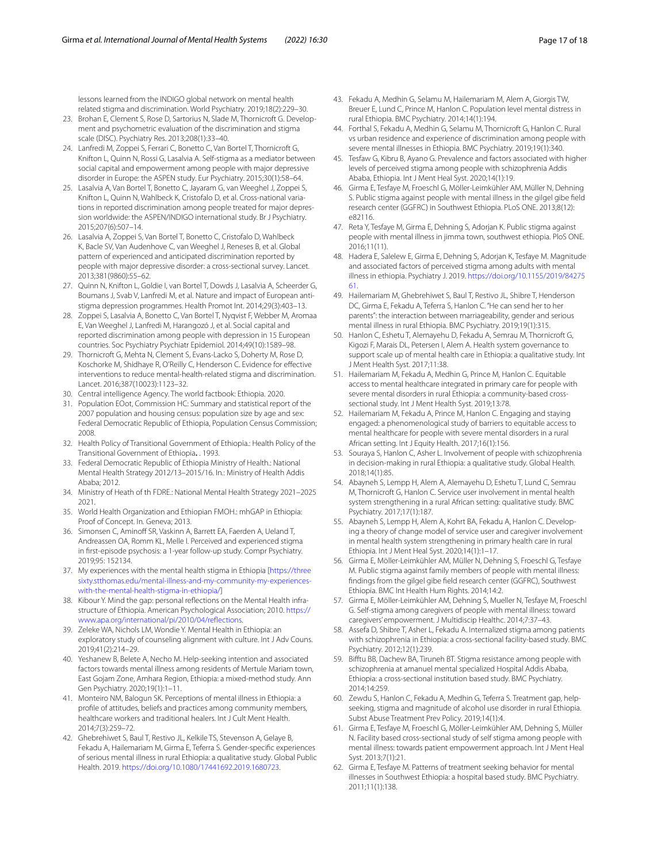lessons learned from the INDIGO global network on mental health related stigma and discrimination. World Psychiatry. 2019;18(2):229–30.

- <span id="page-16-0"></span>23. Brohan E, Clement S, Rose D, Sartorius N, Slade M, Thornicroft G. Development and psychometric evaluation of the discrimination and stigma scale (DISC). Psychiatry Res. 2013;208(1):33–40.
- 24. Lanfredi M, Zoppei S, Ferrari C, Bonetto C, Van Bortel T, Thornicroft G, Knifton L, Quinn N, Rossi G, Lasalvia A. Self-stigma as a mediator between social capital and empowerment among people with major depressive disorder in Europe: the ASPEN study. Eur Psychiatry. 2015;30(1):58–64.
- 25. Lasalvia A, Van Bortel T, Bonetto C, Jayaram G, van Weeghel J, Zoppei S, Knifton L, Quinn N, Wahlbeck K, Cristofalo D, et al. Cross-national variations in reported discrimination among people treated for major depression worldwide: the ASPEN/INDIGO international study. Br J Psychiatry. 2015;207(6):507–14.
- 26. Lasalvia A, Zoppei S, Van Bortel T, Bonetto C, Cristofalo D, Wahlbeck K, Bacle SV, Van Audenhove C, van Weeghel J, Reneses B, et al. Global pattern of experienced and anticipated discrimination reported by people with major depressive disorder: a cross-sectional survey. Lancet. 2013;381(9860):55–62.
- 27. Quinn N, Knifton L, Goldie I, van Bortel T, Dowds J, Lasalvia A, Scheerder G, Boumans J, Svab V, Lanfredi M, et al. Nature and impact of European antistigma depression programmes. Health Promot Int. 2014;29(3):403–13.
- <span id="page-16-1"></span>28. Zoppei S, Lasalvia A, Bonetto C, Van Bortel T, Nyqvist F, Webber M, Aromaa E, Van Weeghel J, Lanfredi M, Harangozó J, et al. Social capital and reported discrimination among people with depression in 15 European countries. Soc Psychiatry Psychiatr Epidemiol. 2014;49(10):1589–98.
- <span id="page-16-2"></span>29. Thornicroft G, Mehta N, Clement S, Evans-Lacko S, Doherty M, Rose D, Koschorke M, Shidhaye R, O'Reilly C, Henderson C. Evidence for efective interventions to reduce mental-health-related stigma and discrimination. Lancet. 2016;387(10023):1123–32.
- <span id="page-16-3"></span>30. Central intelligence Agency. The world factbook: Ethiopia. 2020.
- <span id="page-16-4"></span>31. Population EOot, Commission HC: Summary and statistical report of the 2007 population and housing census: population size by age and sex: Federal Democratic Republic of Ethiopia, Population Census Commission; 2008.
- <span id="page-16-5"></span>32. Health Policy of Transitional Government of Ethiopia.: Health Policy of the Transitional Government of Ethiopia**.** . 1993.
- <span id="page-16-6"></span>33. Federal Democratic Republic of Ethiopia Ministry of Health.: National Mental Health Strategy 2012/13–2015/16. In*.*: Ministry of Health Addis Ababa; 2012.
- <span id="page-16-7"></span>34. Ministry of Heath of th FDRE.: National Mental Health Strategy 2021–2025 2021.
- <span id="page-16-8"></span>35. World Health Organization and Ethiopian FMOH.: mhGAP in Ethiopia: Proof of Concept. In*.* Geneva; 2013.
- <span id="page-16-9"></span>36. Simonsen C, Aminoff SR, Vaskinn A, Barrett EA, Faerden A, Ueland T, Andreassen OA, Romm KL, Melle I. Perceived and experienced stigma in frst-episode psychosis: a 1-year follow-up study. Compr Psychiatry. 2019;95: 152134.
- <span id="page-16-10"></span>37. My experiences with the mental health stigma in Ethiopia [\[https://three](https://threesixty.stthomas.edu/mental-illness-and-my-community-my-experiences-with-the-mental-health-stigma-in-ethiopia/) [sixty.stthomas.edu/mental-illness-and-my-community-my-experiences](https://threesixty.stthomas.edu/mental-illness-and-my-community-my-experiences-with-the-mental-health-stigma-in-ethiopia/)[with-the-mental-health-stigma-in-ethiopia/\]](https://threesixty.stthomas.edu/mental-illness-and-my-community-my-experiences-with-the-mental-health-stigma-in-ethiopia/)
- <span id="page-16-11"></span>38. Kibour Y. Mind the gap: personal refections on the Mental Health infrastructure of Ethiopia. American Psychological Association; 2010. [https://](https://www.apa.org/international/pi/2010/04/reflections) [www.apa.org/international/pi/2010/04/refections.](https://www.apa.org/international/pi/2010/04/reflections)
- <span id="page-16-12"></span>39. Zeleke WA, Nichols LM, Wondie Y. Mental Health in Ethiopia: an exploratory study of counseling alignment with culture. Int J Adv Couns. 2019;41(2):214–29.
- <span id="page-16-13"></span>40. Yeshanew B, Belete A, Necho M. Help-seeking intention and associated factors towards mental illness among residents of Mertule Mariam town, East Gojam Zone, Amhara Region, Ethiopia: a mixed-method study. Ann Gen Psychiatry. 2020;19(1):1–11.
- <span id="page-16-14"></span>41. Monteiro NM, Balogun SK. Perceptions of mental illness in Ethiopia: a profle of attitudes, beliefs and practices among community members, healthcare workers and traditional healers. Int J Cult Ment Health. 2014;7(3):259–72.
- <span id="page-16-15"></span>42. Ghebrehiwet S, Baul T, Restivo JL, Kelkile TS, Stevenson A, Gelaye B, Fekadu A, Hailemariam M, Girma E, Teferra S. Gender-specifc experiences of serious mental illness in rural Ethiopia: a qualitative study. Global Public Health. 2019. [https://doi.org/10.1080/17441692.2019.1680723.](https://doi.org/10.1080/17441692.2019.1680723)
- <span id="page-16-16"></span>43. Fekadu A, Medhin G, Selamu M, Hailemariam M, Alem A, Giorgis TW, Breuer E, Lund C, Prince M, Hanlon C. Population level mental distress in rural Ethiopia. BMC Psychiatry. 2014;14(1):194.
- <span id="page-16-17"></span>44. Forthal S, Fekadu A, Medhin G, Selamu M, Thornicroft G, Hanlon C. Rural vs urban residence and experience of discrimination among people with severe mental illnesses in Ethiopia. BMC Psychiatry. 2019;19(1):340.
- <span id="page-16-18"></span>45. Tesfaw G, Kibru B, Ayano G. Prevalence and factors associated with higher levels of perceived stigma among people with schizophrenia Addis Ababa, Ethiopia. Int J Ment Heal Syst. 2020;14(1):19.
- <span id="page-16-19"></span>46. Girma E, Tesfaye M, Froeschl G, Möller-Leimkühler AM, Müller N, Dehning S. Public stigma against people with mental illness in the gilgel gibe feld research center (GGFRC) in Southwest Ethiopia. PLoS ONE. 2013;8(12): e82116.
- <span id="page-16-20"></span>47. Reta Y, Tesfaye M, Girma E, Dehning S, Adorjan K. Public stigma against people with mental illness in jimma town, southwest ethiopia. PloS ONE. 2016;11(11).
- <span id="page-16-21"></span>48. Hadera E, Salelew E, Girma E, Dehning S, Adorjan K, Tesfaye M. Magnitude and associated factors of perceived stigma among adults with mental illness in ethiopia. Psychiatry J. 2019. [https://doi.org/10.1155/2019/84275](https://doi.org/10.1155/2019/8427561) [61](https://doi.org/10.1155/2019/8427561).
- <span id="page-16-22"></span>49. Hailemariam M, Ghebrehiwet S, Baul T, Restivo JL, Shibre T, Henderson DC, Girma E, Fekadu A, Teferra S, Hanlon C. "He can send her to her parents": the interaction between marriageability, gender and serious mental illness in rural Ethiopia. BMC Psychiatry. 2019;19(1):315.
- <span id="page-16-23"></span>50. Hanlon C, Eshetu T, Alemayehu D, Fekadu A, Semrau M, Thornicroft G, Kigozi F, Marais DL, Petersen I, Alem A. Health system governance to support scale up of mental health care in Ethiopia: a qualitative study. Int J Ment Health Syst. 2017;11:38.
- <span id="page-16-24"></span>51. Hailemariam M, Fekadu A, Medhin G, Prince M, Hanlon C. Equitable access to mental healthcare integrated in primary care for people with severe mental disorders in rural Ethiopia: a community-based crosssectional study. Int J Ment Health Syst. 2019;13:78.
- <span id="page-16-25"></span>52. Hailemariam M, Fekadu A, Prince M, Hanlon C. Engaging and staying engaged: a phenomenological study of barriers to equitable access to mental healthcare for people with severe mental disorders in a rural African setting. Int J Equity Health. 2017;16(1):156.
- <span id="page-16-26"></span>53. Souraya S, Hanlon C, Asher L. Involvement of people with schizophrenia in decision-making in rural Ethiopia: a qualitative study. Global Health. 2018;14(1):85.
- <span id="page-16-27"></span>54. Abayneh S, Lempp H, Alem A, Alemayehu D, Eshetu T, Lund C, Semrau M, Thornicroft G, Hanlon C. Service user involvement in mental health system strengthening in a rural African setting: qualitative study. BMC Psychiatry. 2017;17(1):187.
- <span id="page-16-28"></span>55. Abayneh S, Lempp H, Alem A, Kohrt BA, Fekadu A, Hanlon C. Developing a theory of change model of service user and caregiver involvement in mental health system strengthening in primary health care in rural Ethiopia. Int J Ment Heal Syst. 2020;14(1):1–17.
- <span id="page-16-29"></span>56. Girma E, Möller-Leimkühler AM, Müller N, Dehning S, Froeschl G, Tesfaye M. Public stigma against family members of people with mental illness: fndings from the gilgel gibe feld research center (GGFRC), Southwest Ethiopia. BMC Int Health Hum Rights. 2014;14:2.
- <span id="page-16-30"></span>57. Girma E, Möller-Leimkühler AM, Dehning S, Mueller N, Tesfaye M, Froeschl G. Self-stigma among caregivers of people with mental illness: toward caregivers' empowerment. J Multidiscip Healthc. 2014;7:37–43.
- <span id="page-16-31"></span>58. Assefa D, Shibre T, Asher L, Fekadu A. Internalized stigma among patients with schizophrenia in Ethiopia: a cross-sectional facility-based study. BMC Psychiatry. 2012;12(1):239.
- <span id="page-16-32"></span>59. Biftu BB, Dachew BA, Tiruneh BT. Stigma resistance among people with schizophrenia at amanuel mental specialized Hospital Addis Ababa, Ethiopia: a cross-sectional institution based study. BMC Psychiatry. 2014;14:259.
- <span id="page-16-33"></span>60. Zewdu S, Hanlon C, Fekadu A, Medhin G, Teferra S. Treatment gap, helpseeking, stigma and magnitude of alcohol use disorder in rural Ethiopia. Subst Abuse Treatment Prev Policy. 2019;14(1):4.
- <span id="page-16-34"></span>61. Girma E, Tesfaye M, Froeschl G, Möller-Leimkühler AM, Dehning S, Müller N. Facility based cross-sectional study of self stigma among people with mental illness: towards patient empowerment approach. Int J Ment Heal Syst. 2013;7(1):21.
- <span id="page-16-35"></span>62. Girma E, Tesfaye M. Patterns of treatment seeking behavior for mental illnesses in Southwest Ethiopia: a hospital based study. BMC Psychiatry. 2011;11(1):138.